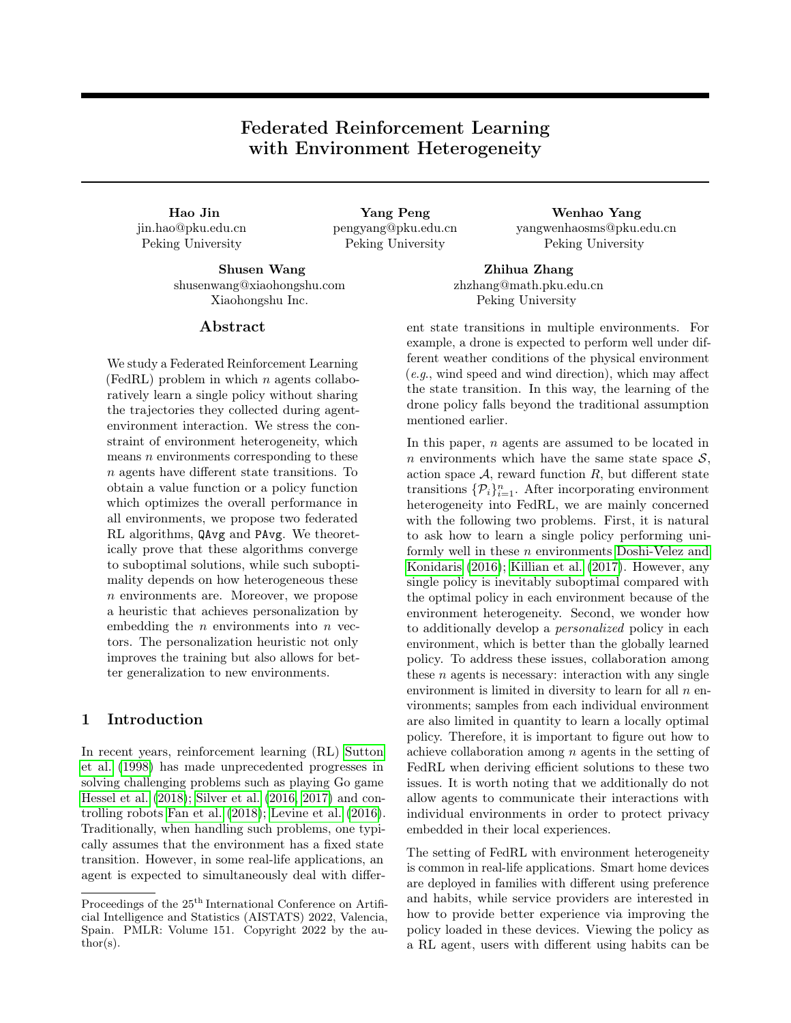# Federated Reinforcement Learning with Environment Heterogeneity

Hao Jin jin.hao@pku.edu.cn Peking University

Yang Peng pengyang@pku.edu.cn Peking University

Shusen Wang shusenwang@xiaohongshu.com Xiaohongshu Inc.

#### Abstract

We study a Federated Reinforcement Learning  $(FedRL)$  problem in which *n* agents collaboratively learn a single policy without sharing the trajectories they collected during agentenvironment interaction. We stress the constraint of environment heterogeneity, which means  $n$  environments corresponding to these n agents have different state transitions. To obtain a value function or a policy function which optimizes the overall performance in all environments, we propose two federated RL algorithms, QAvg and PAvg. We theoretically prove that these algorithms converge to suboptimal solutions, while such suboptimality depends on how heterogeneous these n environments are. Moreover, we propose a heuristic that achieves personalization by embedding the  $n$  environments into  $n$  vectors. The personalization heuristic not only improves the training but also allows for better generalization to new environments.

### 1 Introduction

In recent years, reinforcement learning (RL) [Sutton](#page-9-0) [et al.](#page-9-0) [\(1998\)](#page-9-0) has made unprecedented progresses in solving challenging problems such as playing Go game [Hessel et al.](#page-8-0) [\(2018\)](#page-8-0); [Silver et al.](#page-9-1) [\(2016,](#page-9-1) [2017\)](#page-9-2) and controlling robots [Fan et al.](#page-8-1) [\(2018\)](#page-8-1); [Levine et al.](#page-8-2) [\(2016\)](#page-8-2). Traditionally, when handling such problems, one typically assumes that the environment has a fixed state transition. However, in some real-life applications, an agent is expected to simultaneously deal with differ-

Zhihua Zhang zhzhang@math.pku.edu.cn Peking University

Wenhao Yang yangwenhaosms@pku.edu.cn Peking University

ent state transitions in multiple environments. For example, a drone is expected to perform well under different weather conditions of the physical environment (e.g., wind speed and wind direction), which may affect the state transition. In this way, the learning of the drone policy falls beyond the traditional assumption mentioned earlier.

In this paper, n agents are assumed to be located in n environments which have the same state space  $\mathcal{S}$ , action space  $A$ , reward function  $R$ , but different state transitions  $\{\mathcal{P}_i\}_{i=1}^n$ . After incorporating environment heterogeneity into FedRL, we are mainly concerned with the following two problems. First, it is natural to ask how to learn a single policy performing uniformly well in these n environments [Doshi-Velez and](#page-8-3) [Konidaris](#page-8-3) [\(2016\)](#page-8-3); [Killian et al.](#page-8-4) [\(2017\)](#page-8-4). However, any single policy is inevitably suboptimal compared with the optimal policy in each environment because of the environment heterogeneity. Second, we wonder how to additionally develop a personalized policy in each environment, which is better than the globally learned policy. To address these issues, collaboration among these  $n$  agents is necessary: interaction with any single environment is limited in diversity to learn for all  $n$  environments; samples from each individual environment are also limited in quantity to learn a locally optimal policy. Therefore, it is important to figure out how to achieve collaboration among n agents in the setting of FedRL when deriving efficient solutions to these two issues. It is worth noting that we additionally do not allow agents to communicate their interactions with individual environments in order to protect privacy embedded in their local experiences.

The setting of FedRL with environment heterogeneity is common in real-life applications. Smart home devices are deployed in families with different using preference and habits, while service providers are interested in how to provide better experience via improving the policy loaded in these devices. Viewing the policy as a RL agent, users with different using habits can be

Proceedings of the  $25^{\text{th}}$  International Conference on Artificial Intelligence and Statistics (AISTATS) 2022, Valencia, Spain. PMLR: Volume 151. Copyright 2022 by the au- $\text{thor}(s)$ .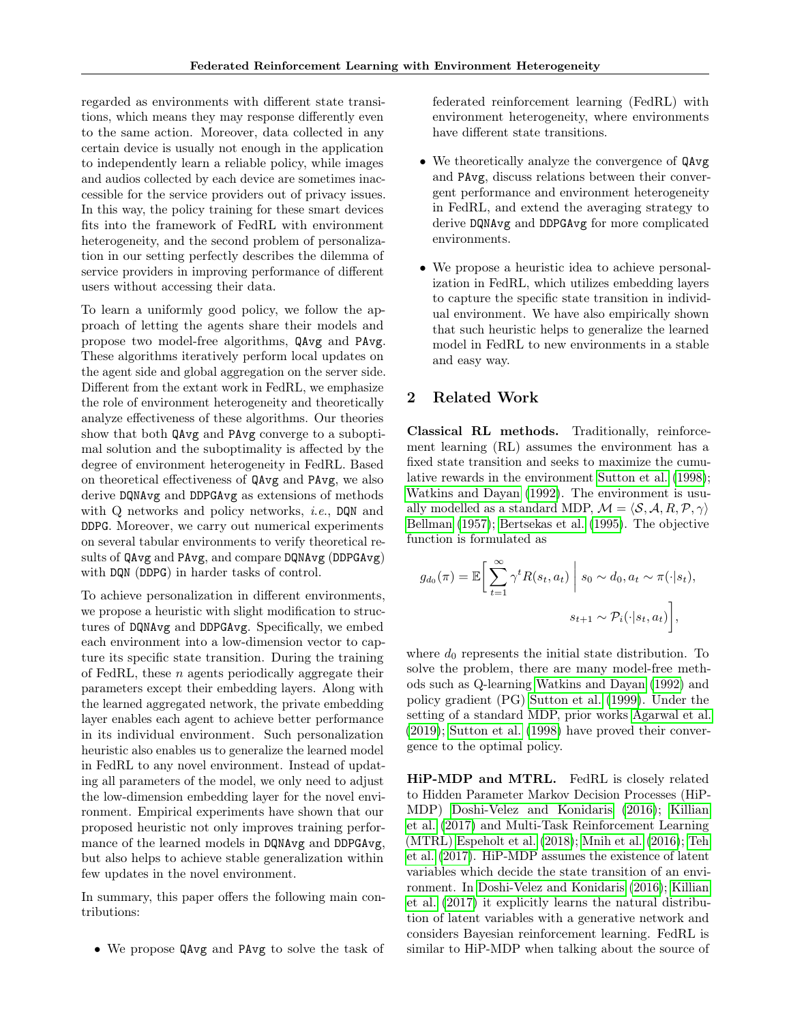regarded as environments with different state transitions, which means they may response differently even to the same action. Moreover, data collected in any certain device is usually not enough in the application to independently learn a reliable policy, while images and audios collected by each device are sometimes inaccessible for the service providers out of privacy issues. In this way, the policy training for these smart devices fits into the framework of FedRL with environment heterogeneity, and the second problem of personalization in our setting perfectly describes the dilemma of service providers in improving performance of different users without accessing their data.

To learn a uniformly good policy, we follow the approach of letting the agents share their models and propose two model-free algorithms, QAvg and PAvg. These algorithms iteratively perform local updates on the agent side and global aggregation on the server side. Different from the extant work in FedRL, we emphasize the role of environment heterogeneity and theoretically analyze effectiveness of these algorithms. Our theories show that both QAvg and PAvg converge to a suboptimal solution and the suboptimality is affected by the degree of environment heterogeneity in FedRL. Based on theoretical effectiveness of QAvg and PAvg, we also derive DQNAvg and DDPGAvg as extensions of methods with Q networks and policy networks, *i.e.*, DQN and DDPG. Moreover, we carry out numerical experiments on several tabular environments to verify theoretical results of QAvg and PAvg, and compare DQNAvg (DDPGAvg) with  $DQN$  (DDPG) in harder tasks of control.

To achieve personalization in different environments, we propose a heuristic with slight modification to structures of DQNAvg and DDPGAvg. Specifically, we embed each environment into a low-dimension vector to capture its specific state transition. During the training of FedRL, these  $n$  agents periodically aggregate their parameters except their embedding layers. Along with the learned aggregated network, the private embedding layer enables each agent to achieve better performance in its individual environment. Such personalization heuristic also enables us to generalize the learned model in FedRL to any novel environment. Instead of updating all parameters of the model, we only need to adjust the low-dimension embedding layer for the novel environment. Empirical experiments have shown that our proposed heuristic not only improves training performance of the learned models in DQNAvg and DDPGAvg, but also helps to achieve stable generalization within few updates in the novel environment.

In summary, this paper offers the following main contributions:

• We propose QAvg and PAvg to solve the task of

federated reinforcement learning (FedRL) with environment heterogeneity, where environments have different state transitions.

- We theoretically analyze the convergence of QAvg and PAvg, discuss relations between their convergent performance and environment heterogeneity in FedRL, and extend the averaging strategy to derive DQNAvg and DDPGAvg for more complicated environments.
- We propose a heuristic idea to achieve personalization in FedRL, which utilizes embedding layers to capture the specific state transition in individual environment. We have also empirically shown that such heuristic helps to generalize the learned model in FedRL to new environments in a stable and easy way.

# 2 Related Work

Classical RL methods. Traditionally, reinforcement learning (RL) assumes the environment has a fixed state transition and seeks to maximize the cumulative rewards in the environment [Sutton et al.](#page-9-0) [\(1998\)](#page-9-0); [Watkins and Dayan](#page-9-3) [\(1992\)](#page-9-3). The environment is usually modelled as a standard MDP,  $\mathcal{M} = \langle \mathcal{S}, \mathcal{A}, R, \mathcal{P}, \gamma \rangle$ [Bellman](#page-8-5) [\(1957\)](#page-8-5); [Bertsekas et al.](#page-8-6) [\(1995\)](#page-8-6). The objective function is formulated as

$$
g_{d_0}(\pi) = \mathbb{E}\bigg[\sum_{t=1}^{\infty} \gamma^t R(s_t, a_t) \mid s_0 \sim d_0, a_t \sim \pi(\cdot | s_t),
$$

$$
s_{t+1} \sim \mathcal{P}_i(\cdot | s_t, a_t)\bigg],
$$

where  $d_0$  represents the initial state distribution. To solve the problem, there are many model-free methods such as Q-learning [Watkins and Dayan](#page-9-3) [\(1992\)](#page-9-3) and policy gradient (PG) [Sutton et al.](#page-9-4) [\(1999\)](#page-9-4). Under the setting of a standard MDP, prior works [Agarwal et al.](#page-8-7) [\(2019\)](#page-8-7); [Sutton et al.](#page-9-0) [\(1998\)](#page-9-0) have proved their convergence to the optimal policy.

HiP-MDP and MTRL. FedRL is closely related to Hidden Parameter Markov Decision Processes (HiP-MDP) [Doshi-Velez and Konidaris](#page-8-3) [\(2016\)](#page-8-3); [Killian](#page-8-4) [et al.](#page-8-4) [\(2017\)](#page-8-4) and Multi-Task Reinforcement Learning (MTRL) [Espeholt et al.](#page-8-8) [\(2018\)](#page-8-8); [Mnih et al.](#page-9-5) [\(2016\)](#page-9-5); [Teh](#page-9-6) [et al.](#page-9-6) [\(2017\)](#page-9-6). HiP-MDP assumes the existence of latent variables which decide the state transition of an environment. In [Doshi-Velez and Konidaris](#page-8-3) [\(2016\)](#page-8-3); [Killian](#page-8-4) [et al.](#page-8-4) [\(2017\)](#page-8-4) it explicitly learns the natural distribution of latent variables with a generative network and considers Bayesian reinforcement learning. FedRL is similar to HiP-MDP when talking about the source of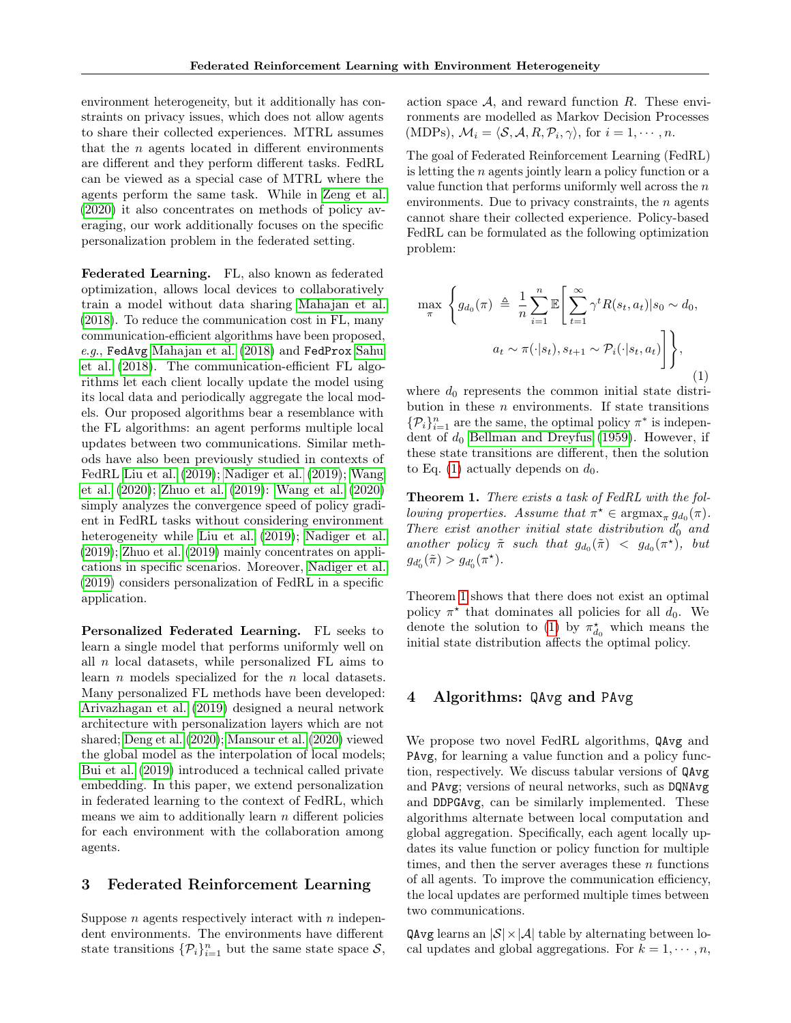environment heterogeneity, but it additionally has constraints on privacy issues, which does not allow agents to share their collected experiences. MTRL assumes that the  $n$  agents located in different environments are different and they perform different tasks. FedRL can be viewed as a special case of MTRL where the agents perform the same task. While in [Zeng et al.](#page-9-7) [\(2020\)](#page-9-7) it also concentrates on methods of policy averaging, our work additionally focuses on the specific personalization problem in the federated setting.

Federated Learning. FL, also known as federated optimization, allows local devices to collaboratively train a model without data sharing [Mahajan et al.](#page-9-8) [\(2018\)](#page-9-8). To reduce the communication cost in FL, many communication-efficient algorithms have been proposed, e.g., FedAvg [Mahajan et al.](#page-9-8) [\(2018\)](#page-9-8) and FedProx [Sahu](#page-9-9) [et al.](#page-9-9) [\(2018\)](#page-9-9). The communication-efficient FL algorithms let each client locally update the model using its local data and periodically aggregate the local models. Our proposed algorithms bear a resemblance with the FL algorithms: an agent performs multiple local updates between two communications. Similar methods have also been previously studied in contexts of FedRL [Liu et al.](#page-8-9) [\(2019\)](#page-8-9); [Nadiger et al.](#page-9-10) [\(2019\)](#page-9-10); [Wang](#page-9-11) [et al.](#page-9-11) [\(2020\)](#page-9-11); [Zhuo et al.](#page-9-12) [\(2019\)](#page-9-12): [Wang et al.](#page-9-11) [\(2020\)](#page-9-11) simply analyzes the convergence speed of policy gradient in FedRL tasks without considering environment heterogeneity while [Liu et al.](#page-8-9) [\(2019\)](#page-8-9); [Nadiger et al.](#page-9-10) [\(2019\)](#page-9-10); [Zhuo et al.](#page-9-12) [\(2019\)](#page-9-12) mainly concentrates on applications in specific scenarios. Moreover, [Nadiger et al.](#page-9-10) [\(2019\)](#page-9-10) considers personalization of FedRL in a specific application.

Personalized Federated Learning. FL seeks to learn a single model that performs uniformly well on all  $n$  local datasets, while personalized  $FL$  aims to learn n models specialized for the n local datasets. Many personalized FL methods have been developed: [Arivazhagan et al.](#page-8-10) [\(2019\)](#page-8-10) designed a neural network architecture with personalization layers which are not shared; [Deng et al.](#page-8-11) [\(2020\)](#page-8-11); [Mansour et al.](#page-9-13) [\(2020\)](#page-9-13) viewed the global model as the interpolation of local models; [Bui et al.](#page-8-12) [\(2019\)](#page-8-12) introduced a technical called private embedding. In this paper, we extend personalization in federated learning to the context of FedRL, which means we aim to additionally learn  $n$  different policies for each environment with the collaboration among agents.

#### 3 Federated Reinforcement Learning

Suppose *n* agents respectively interact with *n* independent environments. The environments have different state transitions  $\{\mathcal{P}_i\}_{i=1}^n$  but the same state space  $\mathcal{S}_i$ , action space  $A$ , and reward function  $R$ . These environments are modelled as Markov Decision Processes (MDPs),  $\mathcal{M}_i = \langle \mathcal{S}, \mathcal{A}, R, \mathcal{P}_i, \gamma \rangle$ , for  $i = 1, \cdots, n$ .

The goal of Federated Reinforcement Learning (FedRL) is letting the  $n$  agents jointly learn a policy function or a value function that performs uniformly well across the  $n$ environments. Due to privacy constraints, the  $n$  agents cannot share their collected experience. Policy-based FedRL can be formulated as the following optimization problem:

<span id="page-2-0"></span>
$$
\max_{\pi} \left\{ g_{d_0}(\pi) \triangleq \frac{1}{n} \sum_{i=1}^n \mathbb{E} \left[ \sum_{t=1}^{\infty} \gamma^t R(s_t, a_t) | s_0 \sim d_0, \right. \left. a_t \sim \pi(\cdot | s_t), s_{t+1} \sim \mathcal{P}_i(\cdot | s_t, a_t) \right] \right\},
$$
\n(1)

where  $d_0$  represents the common initial state distribution in these  $n$  environments. If state transitions  $\{\mathcal{P}_i\}_{i=1}^n$  are the same, the optimal policy  $\pi^*$  is independent of  $d_0$  [Bellman and Dreyfus](#page-8-13) [\(1959\)](#page-8-13). However, if these state transitions are different, then the solution to Eq. [\(1\)](#page-2-0) actually depends on  $d_0$ .

<span id="page-2-1"></span>Theorem 1. There exists a task of FedRL with the following properties. Assume that  $\pi^* \in \operatorname{argmax}_{\pi} g_{d_0}(\pi)$ . There exist another initial state distribution  $d'_0$  and another policy  $\tilde{\pi}$  such that  $g_{d_0}(\tilde{\pi}) < g_{d_0}(\pi^*)$ , but  $g_{d'_0}(\tilde{\pi}) > g_{d'_0}(\pi^{\star}).$ 

Theorem [1](#page-2-1) shows that there does not exist an optimal policy  $\pi^*$  that dominates all policies for all  $d_0$ . We denote the solution to [\(1\)](#page-2-0) by  $\pi_{d_0}^{\star}$  which means the initial state distribution affects the optimal policy.

# 4 Algorithms: QAvg and PAvg

We propose two novel FedRL algorithms,  $QAvg$  and PAvg, for learning a value function and a policy function, respectively. We discuss tabular versions of QAvg and PAvg; versions of neural networks, such as DQNAvg and DDPGAvg, can be similarly implemented. These algorithms alternate between local computation and global aggregation. Specifically, each agent locally updates its value function or policy function for multiple times, and then the server averages these  $n$  functions of all agents. To improve the communication efficiency, the local updates are performed multiple times between two communications.

 $QAvg$  learns an  $|S| \times |A|$  table by alternating between local updates and global aggregations. For  $k = 1, \dots, n$ ,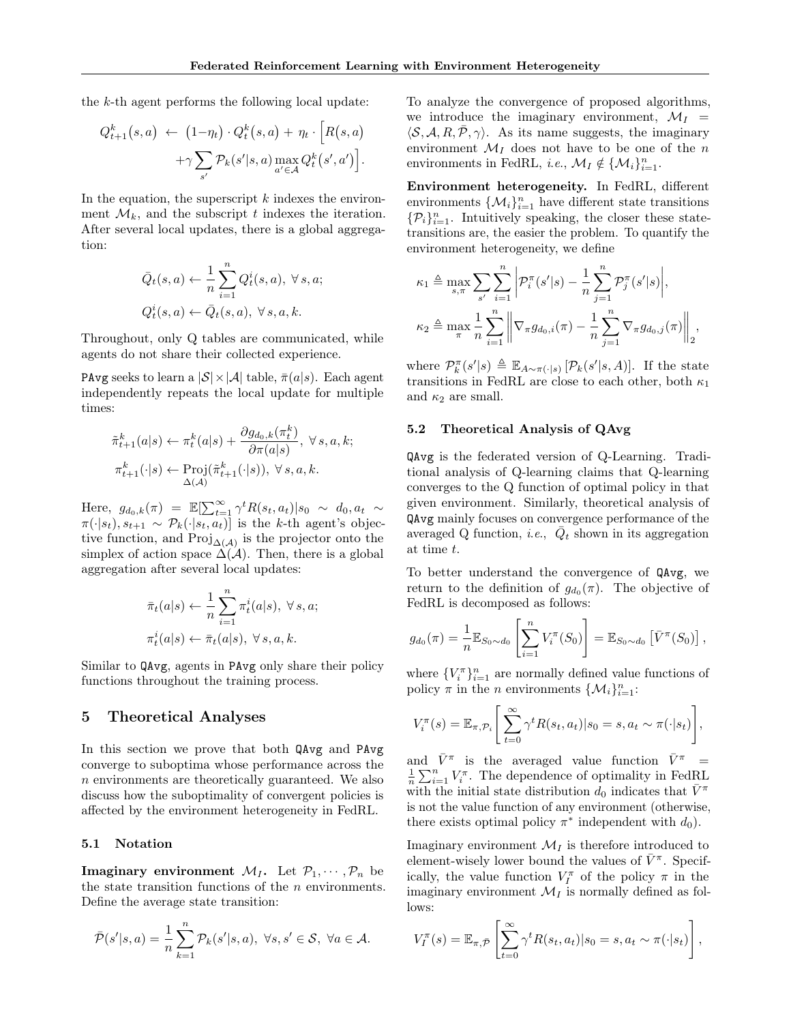the k-th agent performs the following local update:

$$
Q_{t+1}^k(s, a) \leftarrow (1 - \eta_t) \cdot Q_t^k(s, a) + \eta_t \cdot \Big[ R(s, a) + \gamma \sum_{s'} \mathcal{P}_k(s'|s, a) \max_{a' \in \mathcal{A}} Q_t^k(s', a') \Big].
$$

In the equation, the superscript  $k$  indexes the environment  $\mathcal{M}_k$ , and the subscript t indexes the iteration. After several local updates, there is a global aggregation:

$$
\bar{Q}_t(s, a) \leftarrow \frac{1}{n} \sum_{i=1}^n Q_t^i(s, a), \ \forall s, a;
$$
  

$$
Q_t^i(s, a) \leftarrow \bar{Q}_t(s, a), \ \forall s, a, k.
$$

Throughout, only Q tables are communicated, while agents do not share their collected experience.

**PAvg** seeks to learn a  $|\mathcal{S}| \times |\mathcal{A}|$  table,  $\bar{\pi}(a|s)$ . Each agent independently repeats the local update for multiple times:

$$
\tilde{\pi}_{t+1}^k(a|s) \leftarrow \pi_t^k(a|s) + \frac{\partial g_{d_0,k}(\pi_t^k)}{\partial \pi(a|s)}, \ \forall \, s, a, k;
$$

$$
\pi_{t+1}^k(\cdot|s) \leftarrow \text{Proj}(\tilde{\pi}_{t+1}^k(\cdot|s)), \ \forall \, s, a, k.
$$

Here,  $g_{d_0,k}(\pi) = \mathbb{E}[\sum_{t=1}^{\infty} \gamma^t R(s_t, a_t) | s_0 \sim d_0, a_t \sim$  $\pi(\cdot|s_t), s_{t+1} \sim \mathcal{P}_k(\cdot|s_t, a_t)$  is the k-th agent's objective function, and  $\text{Proj}_{\Delta(\mathcal{A})}$  is the projector onto the simplex of action space  $\Delta(\mathcal{A})$ . Then, there is a global aggregation after several local updates:

$$
\bar{\pi}_t(a|s) \leftarrow \frac{1}{n} \sum_{i=1}^n \pi_t^i(a|s), \ \forall s, a;
$$
  

$$
\pi_t^i(a|s) \leftarrow \bar{\pi}_t(a|s), \ \forall s, a, k.
$$

Similar to QAvg, agents in PAvg only share their policy functions throughout the training process.

# 5 Theoretical Analyses

In this section we prove that both QAvg and PAvg converge to suboptima whose performance across the n environments are theoretically guaranteed. We also discuss how the suboptimality of convergent policies is affected by the environment heterogeneity in FedRL.

#### 5.1 Notation

**Imaginary environment**  $\mathcal{M}_I$ . Let  $\mathcal{P}_1, \cdots, \mathcal{P}_n$  be the state transition functions of the  $n$  environments. Define the average state transition:

$$
\bar{\mathcal{P}}(s'|s,a) = \frac{1}{n} \sum_{k=1}^{n} \mathcal{P}_k(s'|s,a), \ \forall s, s' \in \mathcal{S}, \ \forall a \in \mathcal{A}.
$$

To analyze the convergence of proposed algorithms, we introduce the imaginary environment,  $\mathcal{M}_I$  =  $\langle \mathcal{S}, \mathcal{A}, R, \mathcal{P}, \gamma \rangle$ . As its name suggests, the imaginary environment  $\mathcal{M}_I$  does not have to be one of the n environments in FedRL, *i.e.*,  $\mathcal{M}_I \notin {\{\mathcal{M}_i\}}_{i=1}^n$ .

Environment heterogeneity. In FedRL, different environments  $\{\mathcal{M}_i\}_{i=1}^n$  have different state transitions  $\{\mathcal{P}_i\}_{i=1}^n$ . Intuitively speaking, the closer these statetransitions are, the easier the problem. To quantify the environment heterogeneity, we define

$$
\kappa_1 \triangleq \max_{s,\pi} \sum_{s'} \sum_{i=1}^n \left| \mathcal{P}_i^{\pi}(s'|s) - \frac{1}{n} \sum_{j=1}^n \mathcal{P}_j^{\pi}(s'|s) \right|,
$$
  

$$
\kappa_2 \triangleq \max_{\pi} \frac{1}{n} \sum_{i=1}^n \left\| \nabla_{\pi} g_{d_0,i}(\pi) - \frac{1}{n} \sum_{j=1}^n \nabla_{\pi} g_{d_0,j}(\pi) \right\|_2,
$$

where  $\mathcal{P}_k^{\pi}(s'|s) \triangleq \mathbb{E}_{A \sim \pi(\cdot|s)} [\mathcal{P}_k(s'|s, A)].$  If the state transitions in FedRL are close to each other, both  $\kappa_1$ and  $\kappa_2$  are small.

#### 5.2 Theoretical Analysis of QAvg

QAvg is the federated version of Q-Learning. Traditional analysis of Q-learning claims that Q-learning converges to the Q function of optimal policy in that given environment. Similarly, theoretical analysis of QAvg mainly focuses on convergence performance of the averaged Q function, *i.e.*,  $\overline{Q}_t$  shown in its aggregation at time t.

To better understand the convergence of QAvg, we return to the definition of  $g_{d_0}(\pi)$ . The objective of FedRL is decomposed as follows:

$$
g_{d_0}(\pi) = \frac{1}{n} \mathbb{E}_{S_0 \sim d_0} \left[ \sum_{i=1}^n V_i^{\pi}(S_0) \right] = \mathbb{E}_{S_0 \sim d_0} \left[ \bar{V}^{\pi}(S_0) \right],
$$

where  $\{V_i^{\pi}\}_{i=1}^n$  are normally defined value functions of policy  $\pi$  in the *n* environments  $\{\mathcal{M}_i\}_{i=1}^n$ :

$$
V_i^{\pi}(s) = \mathbb{E}_{\pi, \mathcal{P}_i} \left[ \sum_{t=0}^{\infty} \gamma^t R(s_t, a_t) | s_0 = s, a_t \sim \pi(\cdot | s_t) \right],
$$

and  $\bar{V}^{\pi}$  is the averaged value function  $\bar{V}^{\pi}$  =  $\frac{1}{n} \sum_{i=1}^{n} V_i^{\pi}$ . The dependence of optimality in FedRL with the initial state distribution  $d_0$  indicates that  $\bar{V}^{\pi}$ is not the value function of any environment (otherwise, there exists optimal policy  $\pi^*$  independent with  $d_0$ ).

Imaginary environment  $\mathcal{M}_I$  is therefore introduced to element-wisely lower bound the values of  $\bar{V}^{\pi}$ . Specifically, the value function  $V_I^{\pi}$  of the policy  $\pi$  in the imaginary environment  $\mathcal{M}_I$  is normally defined as follows:

$$
V_I^{\pi}(s) = \mathbb{E}_{\pi,\bar{\mathcal{P}}} \left[ \sum_{t=0}^{\infty} \gamma^t R(s_t, a_t) | s_0 = s, a_t \sim \pi(\cdot | s_t) \right],
$$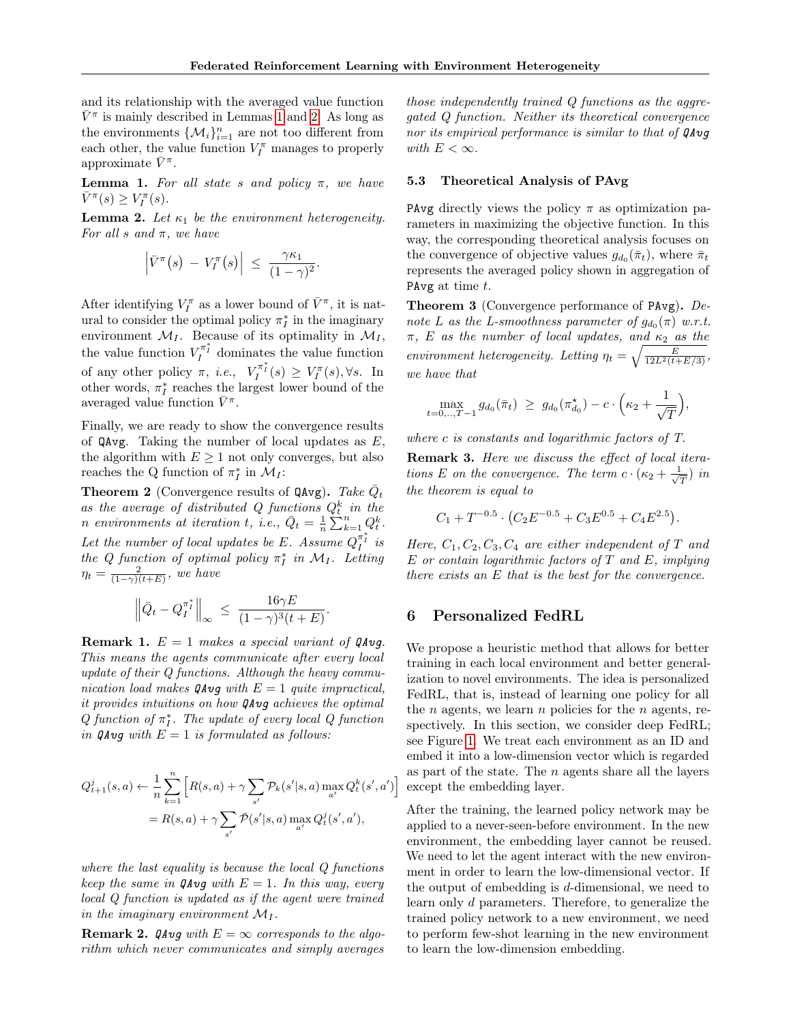and its relationship with the averaged value function  $\bar{V}^{\pi}$  is mainly described in Lemmas [1](#page-4-0) and [2.](#page-4-1) As long as the environments  $\{\mathcal{M}_i\}_{i=1}^n$  are not too different from each other, the value function  $V_I^{\pi}$  manages to properly approximate  $\bar{V}^{\pi}$ .

<span id="page-4-0"></span>**Lemma 1.** For all state s and policy  $\pi$ , we have  $\bar{V}^{\pi}(s) \geq V_I^{\pi}(s).$ 

<span id="page-4-1"></span>**Lemma 2.** Let  $\kappa_1$  be the environment heterogeneity. For all s and  $\pi$ , we have

$$
\left|\bar{V}^{\pi}(s) - V_I^{\pi}(s)\right| \leq \frac{\gamma \kappa_1}{(1-\gamma)^2}.
$$

After identifying  $V_I^{\pi}$  as a lower bound of  $\bar{V}^{\pi}$ , it is natural to consider the optimal policy  $\pi_I^*$  in the imaginary environment  $\mathcal{M}_I$ . Because of its optimality in  $\mathcal{M}_I$ , the value function  $V_I^{\pi_I^*}$  dominates the value function of any other policy  $\pi$ , *i.e.*,  $V_I^{\pi^*}$  (s)  $\geq V_I^{\pi}(s)$ ,  $\forall s$ . In other words,  $\pi_I^*$  reaches the largest lower bound of the averaged value function  $\bar{V}^{\pi}$ .

Finally, we are ready to show the convergence results of  $QAvg$ . Taking the number of local updates as  $E$ , the algorithm with  $E \geq 1$  not only converges, but also reaches the Q function of  $\pi_I^*$  in  $\mathcal{M}_I$ :

<span id="page-4-2"></span>**Theorem 2** (Convergence results of  $QAvg$ ). Take  $\overline{Q}_t$ as the average of distributed  $Q$  functions  $Q_t^k$  in the n environments at iteration t, i.e.,  $\bar{Q}_t = \frac{1}{n} \sum_{k=1}^{n} Q_t^k$ . Let the number of local updates be E. Assume  $Q_I^{\pi_I^*}$  is the Q function of optimal policy  $\pi_I^*$  in  $\mathcal{M}_I$ . Letting  $\eta_t = \frac{2}{(1-\gamma)(t+E)},$  we have

$$
\left\|\bar{Q}_t - Q_I^{\pi_t^*}\right\|_{\infty} \le \frac{16\gamma E}{(1-\gamma)^3(t+E)}
$$

.

i

**Remark 1.**  $E = 1$  makes a special variant of  $QAvg$ . This means the agents communicate after every local update of their Q functions. Although the heavy communication load makes  $QAvg$  with  $E = 1$  quite impractical, it provides intuitions on how QAvg achieves the optimal  $Q$  function of  $\pi_I^*$ . The update of every local  $Q$  function in  $QAvg$  with  $E = 1$  is formulated as follows:

$$
Q_{t+1}^{j}(s, a) \leftarrow \frac{1}{n} \sum_{k=1}^{n} \left[ R(s, a) + \gamma \sum_{s'} \mathcal{P}_{k}(s'|s, a) \max_{a'} Q_{t}^{k}(s', a') \right]
$$

$$
= R(s, a) + \gamma \sum_{s'} \bar{\mathcal{P}}(s'|s, a) \max_{a'} Q_{t}^{j}(s', a'),
$$

where the last equality is because the local Q functions keep the same in  $QAvq$  with  $E = 1$ . In this way, every local Q function is updated as if the agent were trained in the imaginary environment  $\mathcal{M}_I$ .

**Remark 2.**  $Q \text{Avq}$  with  $E = \infty$  corresponds to the algorithm which never communicates and simply averages those independently trained Q functions as the aggregated Q function. Neither its theoretical convergence nor its empirical performance is similar to that of  $QAvg$ with  $E < \infty$ .

#### 5.3 Theoretical Analysis of PAvg

PAvg directly views the policy  $\pi$  as optimization parameters in maximizing the objective function. In this way, the corresponding theoretical analysis focuses on the convergence of objective values  $g_{d_0}(\bar{\pi}_t)$ , where  $\bar{\pi}_t$ represents the averaged policy shown in aggregation of PAvg at time t.

<span id="page-4-3"></span>**Theorem 3** (Convergence performance of PAvg).  $De$ note L as the L-smoothness parameter of  $g_{d_0}(\pi)$  w.r.t.  $\pi$ , E as the number of local updates, and  $\kappa_2$  as the environment heterogeneity. Letting  $\eta_t = \sqrt{\frac{E}{12L^2(t+E/3)}}$ , we have that

$$
\max_{t=0,..,T-1} g_{d_0}(\bar{\pi}_t) \geq g_{d_0}(\pi_{d_0}^*) - c \cdot \left(\kappa_2 + \frac{1}{\sqrt{T}}\right),
$$

where c is constants and logarithmic factors of T.

<span id="page-4-4"></span>Remark 3. Here we discuss the effect of local iterations E on the convergence. The term  $c \cdot (\kappa_2 + \frac{1}{\sqrt{2}})$  $(\frac{1}{T})$  in the theorem is equal to

$$
C_1 + T^{-0.5} \cdot (C_2 E^{-0.5} + C_3 E^{0.5} + C_4 E^{2.5}).
$$

Here,  $C_1, C_2, C_3, C_4$  are either independent of T and  $E$  or contain logarithmic factors of  $T$  and  $E$ , implying there exists an E that is the best for the convergence.

#### <span id="page-4-5"></span>6 Personalized FedRL

We propose a heuristic method that allows for better training in each local environment and better generalization to novel environments. The idea is personalized FedRL, that is, instead of learning one policy for all the *n* agents, we learn *n* policies for the *n* agents, respectively. In this section, we consider deep FedRL; see Figure [1.](#page-5-0) We treat each environment as an ID and embed it into a low-dimension vector which is regarded as part of the state. The  $n$  agents share all the layers except the embedding layer.

After the training, the learned policy network may be applied to a never-seen-before environment. In the new environment, the embedding layer cannot be reused. We need to let the agent interact with the new environment in order to learn the low-dimensional vector. If the output of embedding is  $d$ -dimensional, we need to learn only d parameters. Therefore, to generalize the trained policy network to a new environment, we need to perform few-shot learning in the new environment to learn the low-dimension embedding.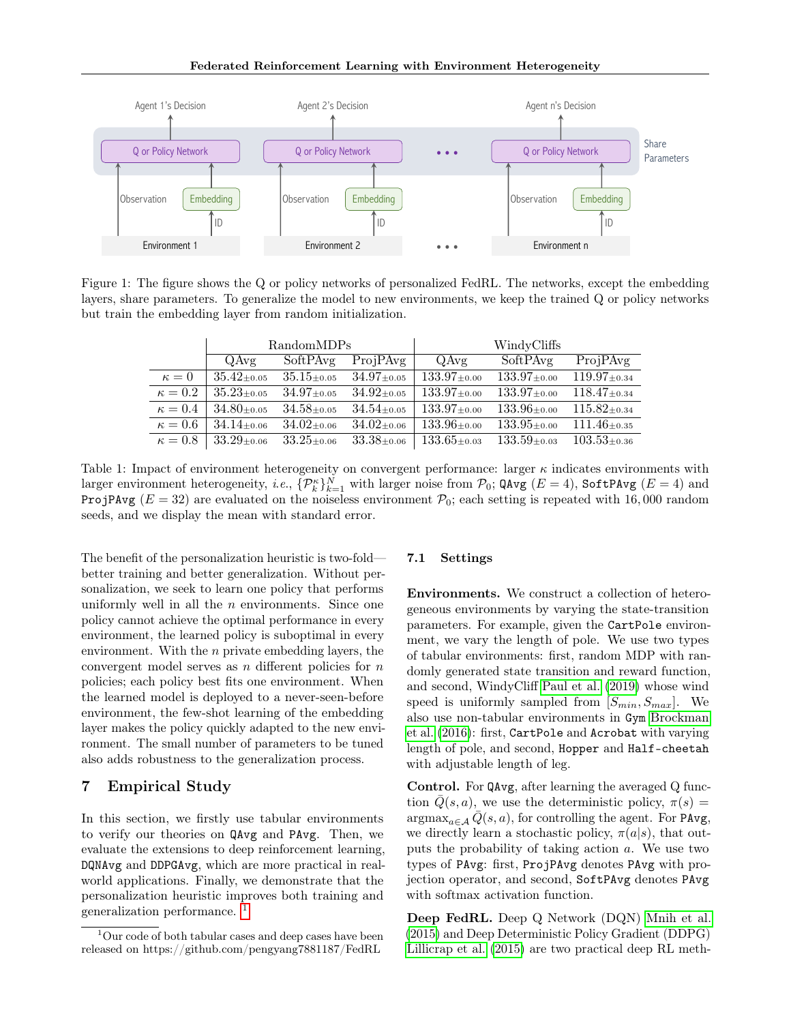<span id="page-5-0"></span>

<span id="page-5-2"></span>Figure 1: The figure shows the Q or policy networks of personalized FedRL. The networks, except the embedding layers, share parameters. To generalize the model to new environments, we keep the trained Q or policy networks but train the embedding layer from random initialization.

|                |                               | RandomMDPs                    |                               |                                | WindyCliffs                    |                                |
|----------------|-------------------------------|-------------------------------|-------------------------------|--------------------------------|--------------------------------|--------------------------------|
|                | QAvg                          | SoftPAvg                      | ProjPAvg                      | QAvg                           | SoftPAvg                       | ProjPAvg                       |
| $\kappa = 0$   | $35.42{\scriptstyle \pm0.05}$ | $35.15{\scriptstyle \pm0.05}$ | $34.97{\scriptstyle\pm0.05}$  | $133.97{\scriptstyle \pm0.00}$ | $133.97{\scriptstyle \pm0.00}$ | $119.97{\scriptstyle \pm0.34}$ |
| $\kappa=0.2$   | $35.23{\scriptstyle \pm0.05}$ | $34.97{\scriptstyle\pm0.05}$  | $34.92{\scriptstyle \pm0.05}$ | $133.97{\scriptstyle \pm0.00}$ | $133.97{\scriptstyle \pm0.00}$ | $118.47{\scriptstyle \pm0.34}$ |
| $\kappa = 0.4$ | $34.80_{\pm 0.05}$            | $34.58_{\pm 0.05}$            | $34.54_{\pm 0.05}$            | $133.97{\scriptstyle \pm0.00}$ | $133.96{\scriptstyle \pm0.00}$ | $115.82{\scriptstyle \pm0.34}$ |
| $\kappa = 0.6$ | $34.14{\scriptstyle\pm0.06}$  | $34.02{\scriptstyle \pm0.06}$ | $34.02{\scriptstyle \pm0.06}$ | $133.96{\scriptstyle \pm0.00}$ | $133.95{\scriptstyle \pm0.00}$ | $111.46 \pm 0.35$              |
| $\kappa=0.8$   | $33.29{\scriptstyle \pm0.06}$ | $33.25{\scriptstyle \pm0.06}$ | $33.38{\scriptstyle \pm0.06}$ | $133.65{\scriptstyle \pm0.03}$ | $133.59_{\pm 0.03}$            | $103.53{\scriptstyle \pm0.36}$ |

Table 1: Impact of environment heterogeneity on convergent performance: larger  $\kappa$  indicates environments with larger environment heterogeneity, *i.e.*,  $\{\mathcal{P}_k^{\kappa}\}_{k=1}^N$  with larger noise from  $\mathcal{P}_0$ ; QAvg ( $E = 4$ ), SoftPAvg ( $E = 4$ ) and ProjPAvg ( $E = 32$ ) are evaluated on the noiseless environment  $\mathcal{P}_0$ ; each setting is repeated with 16,000 random seeds, and we display the mean with standard error.

The benefit of the personalization heuristic is two-fold better training and better generalization. Without personalization, we seek to learn one policy that performs uniformly well in all the  $n$  environments. Since one policy cannot achieve the optimal performance in every environment, the learned policy is suboptimal in every environment. With the  $n$  private embedding layers, the convergent model serves as  $n$  different policies for  $n$ policies; each policy best fits one environment. When the learned model is deployed to a never-seen-before environment, the few-shot learning of the embedding layer makes the policy quickly adapted to the new environment. The small number of parameters to be tuned also adds robustness to the generalization process.

## 7 Empirical Study

In this section, we firstly use tabular environments to verify our theories on QAvg and PAvg. Then, we evaluate the extensions to deep reinforcement learning, DQNAvg and DDPGAvg, which are more practical in realworld applications. Finally, we demonstrate that the personalization heuristic improves both training and generalization performance. [1](#page-5-1)

#### 7.1 Settings

Environments. We construct a collection of heterogeneous environments by varying the state-transition parameters. For example, given the CartPole environment, we vary the length of pole. We use two types of tabular environments: first, random MDP with randomly generated state transition and reward function, and second, WindyCliff [Paul et al.](#page-9-14) [\(2019\)](#page-9-14) whose wind speed is uniformly sampled from  $[S_{min}, S_{max}]$ . We also use non-tabular environments in Gym [Brockman](#page-8-14) [et al.](#page-8-14) [\(2016\)](#page-8-14): first, CartPole and Acrobat with varying length of pole, and second, Hopper and Half-cheetah with adjustable length of leg.

Control. For QAvg, after learning the averaged Q function  $Q(s, a)$ , we use the deterministic policy,  $\pi(s)$  =  $\argmax_{a \in \mathcal{A}} Q(s, a)$ , for controlling the agent. For PAvg, we directly learn a stochastic policy,  $\pi(a|s)$ , that outputs the probability of taking action a. We use two types of PAvg: first, ProjPAvg denotes PAvg with projection operator, and second, SoftPAvg denotes PAvg with softmax activation function.

Deep FedRL. Deep Q Network (DQN) [Mnih et al.](#page-9-15) [\(2015\)](#page-9-15) and Deep Deterministic Policy Gradient (DDPG) [Lillicrap et al.](#page-8-15) [\(2015\)](#page-8-15) are two practical deep RL meth-

<span id="page-5-1"></span><sup>&</sup>lt;sup>1</sup>Our code of both tabular cases and deep cases have been released on https://github.com/pengyang7881187/FedRL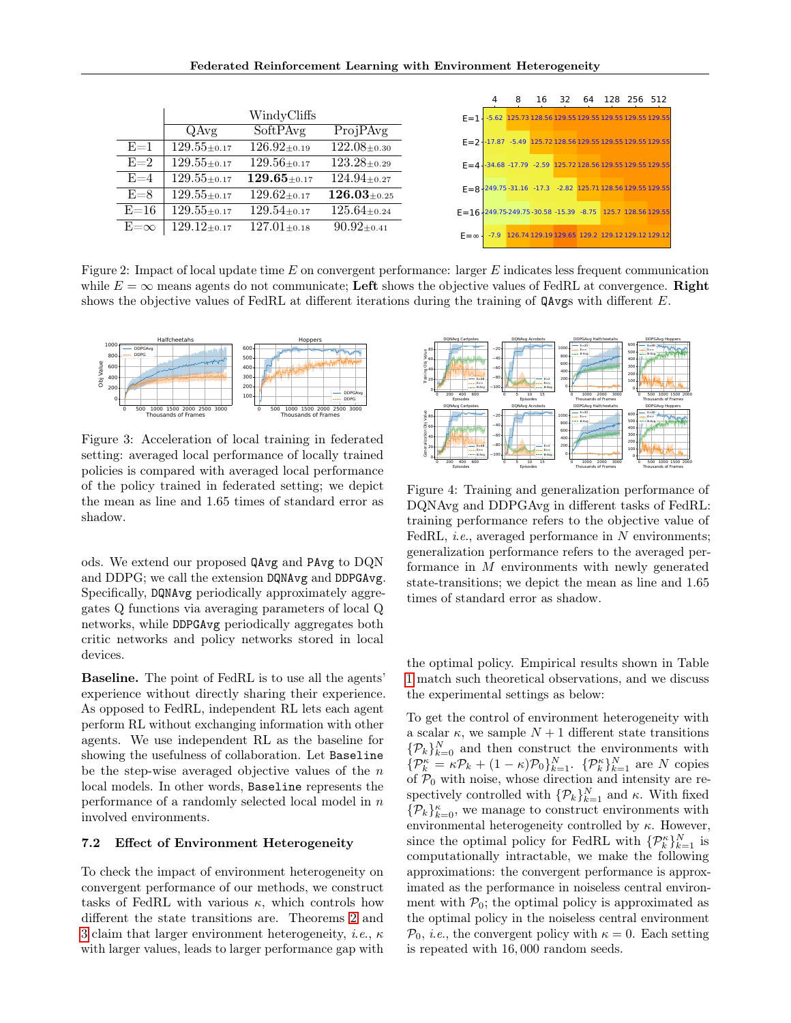<span id="page-6-0"></span>

|            |                               |                                 |                                |                                                                              | 8                                                    |  |  | 16 32 64 128 256 512 |  |
|------------|-------------------------------|---------------------------------|--------------------------------|------------------------------------------------------------------------------|------------------------------------------------------|--|--|----------------------|--|
|            |                               | WindyCliffs                     |                                | $F = 1$ $\frac{1}{2}$ -5.62 125.73 128.56 129.55 129.55 129.55 129.55 129.55 |                                                      |  |  |                      |  |
|            | QAvg                          | SoftPAvg                        | ProjPAvg                       |                                                                              |                                                      |  |  |                      |  |
| $E=1$      | $129.55{\scriptstyle\pm0.17}$ | $126.92{\scriptstyle \pm0.19}$  | $122.08 + 0.30$                | E=2 <sup>1</sup> -17.87 -5.49 125.72 128.56 129.55 129.55 129.55 129.55      |                                                      |  |  |                      |  |
| $E=2$      | $129.55_{\pm 0.17}$           | $129.56_{\pm 0.17}$             | $123.28_{\pm 0.29}$            | $E = 4 - 34.68 - 17.79 - 2.59$ 125.72 128.56 129.55 129.55 129.55            |                                                      |  |  |                      |  |
| $E=4$      | $129.55_{\pm 0.17}$           | $129.65 \scriptstyle{\pm 0.17}$ | $124.94_{\pm 0.27}$            |                                                                              |                                                      |  |  |                      |  |
| $E=8$      | $129.55{\scriptstyle\pm0.17}$ | $129.62_{\pm 0.17}$             | $126.03{\scriptstyle \pm0.25}$ | $F = 8 + 249.75 - 31.16 - 17.3 - 2.82$ 125.71 128.56 129.55 129.55           |                                                      |  |  |                      |  |
| $E=16$     | $129.55{\scriptstyle\pm0.17}$ | $129.54_{\pm 0.17}$             | $125.64_{\pm 0.24}$            | $E = 16 + 249.75 - 249.75 - 30.58 - 15.39 - 8.75$ 125.7 128.56 129.55        |                                                      |  |  |                      |  |
| $E=\infty$ | $129.12_{\pm 0.17}$           | $127.01_{\pm 0.18}$             | $90.92{\scriptstyle \pm0.41}$  |                                                                              |                                                      |  |  |                      |  |
|            |                               |                                 |                                | $F = \infty$                                                                 | -7.9 126.74 129.19 129.65 129.2 129.12 129.12 129.12 |  |  |                      |  |

Figure 2: Impact of local update time  $E$  on convergent performance: larger  $E$  indicates less frequent communication while  $E = \infty$  means agents do not communicate; Left shows the objective values of FedRL at convergence. Right shows the objective values of FedRL at different iterations during the training of  $\mathsf{QAvgs}$  with different E.

<span id="page-6-1"></span>

Figure 3: Acceleration of local training in federated setting: averaged local performance of locally trained policies is compared with averaged local performance of the policy trained in federated setting; we depict the mean as line and 1.65 times of standard error as shadow.

ods. We extend our proposed QAvg and PAvg to DQN and DDPG; we call the extension DQNAvg and DDPGAvg. Specifically, DQNAvg periodically approximately aggregates Q functions via averaging parameters of local Q networks, while DDPGAvg periodically aggregates both critic networks and policy networks stored in local devices.

Baseline. The point of FedRL is to use all the agents' experience without directly sharing their experience. As opposed to FedRL, independent RL lets each agent perform RL without exchanging information with other agents. We use independent RL as the baseline for showing the usefulness of collaboration. Let Baseline be the step-wise averaged objective values of the  $n$ local models. In other words, Baseline represents the performance of a randomly selected local model in  $n$ involved environments.

#### 7.2 Effect of Environment Heterogeneity

To check the impact of environment heterogeneity on convergent performance of our methods, we construct tasks of FedRL with various  $\kappa$ , which controls how different the state transitions are. Theorems [2](#page-4-2) and [3](#page-4-3) claim that larger environment heterogeneity, *i.e.*,  $\kappa$ with larger values, leads to larger performance gap with



Figure 4: Training and generalization performance of DQNAvg and DDPGAvg in different tasks of FedRL: training performance refers to the objective value of FedRL, *i.e.*, averaged performance in  $N$  environments; generalization performance refers to the averaged performance in M environments with newly generated state-transitions; we depict the mean as line and 1.65 times of standard error as shadow.

the optimal policy. Empirical results shown in Table [1](#page-5-2) match such theoretical observations, and we discuss the experimental settings as below:

To get the control of environment heterogeneity with a scalar  $\kappa$ , we sample  $N+1$  different state transitions  $\{\mathcal{P}_k\}_{k=0}^N$  and then construct the environments with  $\{\mathcal{P}_k^{\kappa} = \kappa \mathcal{P}_k + (1 - \kappa)\mathcal{P}_0\}_{k=1}^N$ .  $\{\mathcal{P}_k^{\kappa}\}_{k=1}^N$  are N copies of  $P_0$  with noise, whose direction and intensity are respectively controlled with  $\{\mathcal{P}_k\}_{k=1}^N$  and  $\kappa$ . With fixed  $\{\mathcal{P}_k\}_{k=0}^{\kappa}$ , we manage to construct environments with environmental heterogeneity controlled by  $\kappa$ . However, since the optimal policy for FedRL with  $\{\mathcal{P}_k^{\kappa}\}_{k=1}^N$  is computationally intractable, we make the following approximations: the convergent performance is approximated as the performance in noiseless central environment with  $P_0$ ; the optimal policy is approximated as the optimal policy in the noiseless central environment  $\mathcal{P}_0$ , *i.e.*, the convergent policy with  $\kappa = 0$ . Each setting is repeated with 16, 000 random seeds.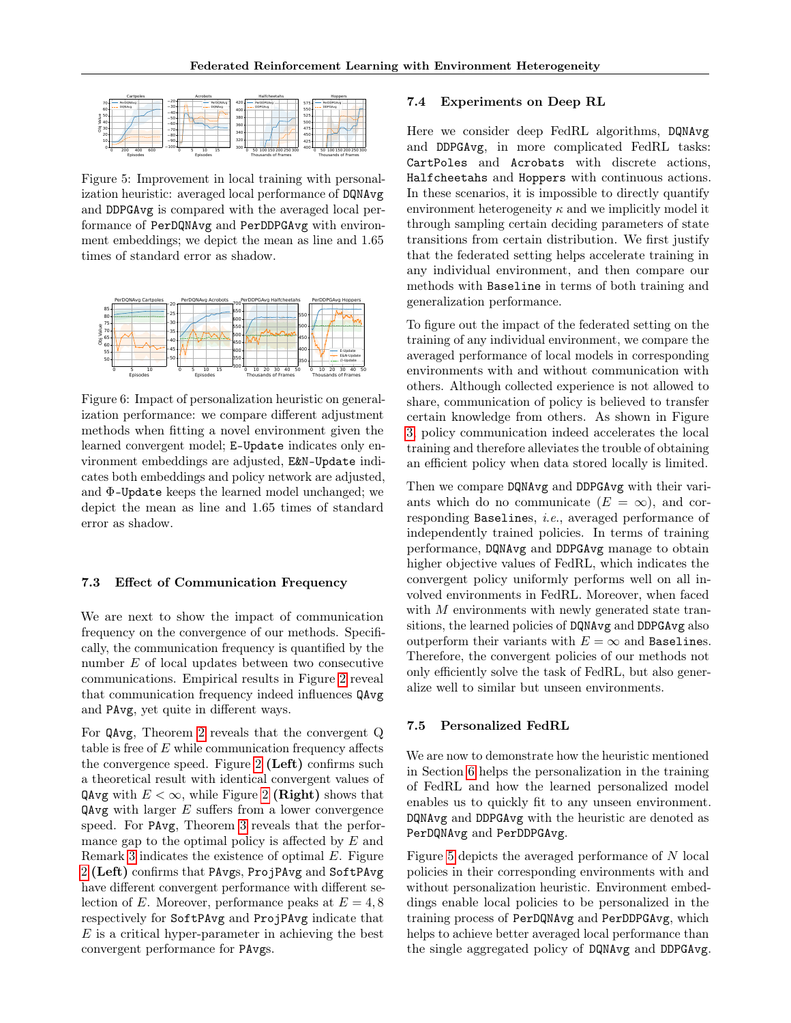<span id="page-7-0"></span>

Figure 5: Improvement in local training with personalization heuristic: averaged local performance of DQNAvg and DDPGAvg is compared with the averaged local performance of PerDQNAvg and PerDDPGAvg with environment embeddings; we depict the mean as line and 1.65 times of standard error as shadow.

<span id="page-7-1"></span>

Figure 6: Impact of personalization heuristic on generalization performance: we compare different adjustment methods when fitting a novel environment given the learned convergent model; E-Update indicates only environment embeddings are adjusted, E&N-Update indicates both embeddings and policy network are adjusted, and Φ-Update keeps the learned model unchanged; we depict the mean as line and 1.65 times of standard error as shadow.

#### 7.3 Effect of Communication Frequency

We are next to show the impact of communication frequency on the convergence of our methods. Specifically, the communication frequency is quantified by the number E of local updates between two consecutive communications. Empirical results in Figure [2](#page-6-0) reveal that communication frequency indeed influences QAvg and PAvg, yet quite in different ways.

For QAvg, Theorem [2](#page-4-2) reveals that the convergent Q table is free of  $E$  while communication frequency affects the convergence speed. Figure [2](#page-6-0) (Left) confirms such a theoretical result with identical convergent values of QAvg with  $E < \infty$ , while Figure [2](#page-6-0) (Right) shows that  $QAvg$  with larger  $E$  suffers from a lower convergence speed. For PAvg, Theorem [3](#page-4-3) reveals that the performance gap to the optimal policy is affected by  $E$  and Remark [3](#page-4-4) indicates the existence of optimal  $E$ . Figure [2](#page-6-0) (Left) confirms that PAvgs, ProjPAvg and SoftPAvg have different convergent performance with different selection of E. Moreover, performance peaks at  $E = 4, 8$ respectively for SoftPAvg and ProjPAvg indicate that  $E$  is a critical hyper-parameter in achieving the best convergent performance for PAvgs.

#### 7.4 Experiments on Deep RL

Here we consider deep FedRL algorithms, DQNAvg and DDPGAvg, in more complicated FedRL tasks: CartPoles and Acrobats with discrete actions, Halfcheetahs and Hoppers with continuous actions. In these scenarios, it is impossible to directly quantify environment heterogeneity  $\kappa$  and we implicitly model it through sampling certain deciding parameters of state transitions from certain distribution. We first justify that the federated setting helps accelerate training in any individual environment, and then compare our methods with Baseline in terms of both training and generalization performance.

To figure out the impact of the federated setting on the training of any individual environment, we compare the averaged performance of local models in corresponding environments with and without communication with others. Although collected experience is not allowed to share, communication of policy is believed to transfer certain knowledge from others. As shown in Figure [3,](#page-6-1) policy communication indeed accelerates the local training and therefore alleviates the trouble of obtaining an efficient policy when data stored locally is limited.

Then we compare DQNAvg and DDPGAvg with their variants which do no communicate  $(E = \infty)$ , and corresponding Baselines, i.e., averaged performance of independently trained policies. In terms of training performance, DQNAvg and DDPGAvg manage to obtain higher objective values of FedRL, which indicates the convergent policy uniformly performs well on all involved environments in FedRL. Moreover, when faced with  $M$  environments with newly generated state transitions, the learned policies of DQNAvg and DDPGAvg also outperform their variants with  $E = \infty$  and Baselines. Therefore, the convergent policies of our methods not only efficiently solve the task of FedRL, but also generalize well to similar but unseen environments.

#### 7.5 Personalized FedRL

We are now to demonstrate how the heuristic mentioned in Section [6](#page-4-5) helps the personalization in the training of FedRL and how the learned personalized model enables us to quickly fit to any unseen environment. DQNAvg and DDPGAvg with the heuristic are denoted as PerDQNAvg and PerDDPGAvg.

Figure [5](#page-7-0) depicts the averaged performance of N local policies in their corresponding environments with and without personalization heuristic. Environment embeddings enable local policies to be personalized in the training process of PerDQNAvg and PerDDPGAvg, which helps to achieve better averaged local performance than the single aggregated policy of DQNAvg and DDPGAvg.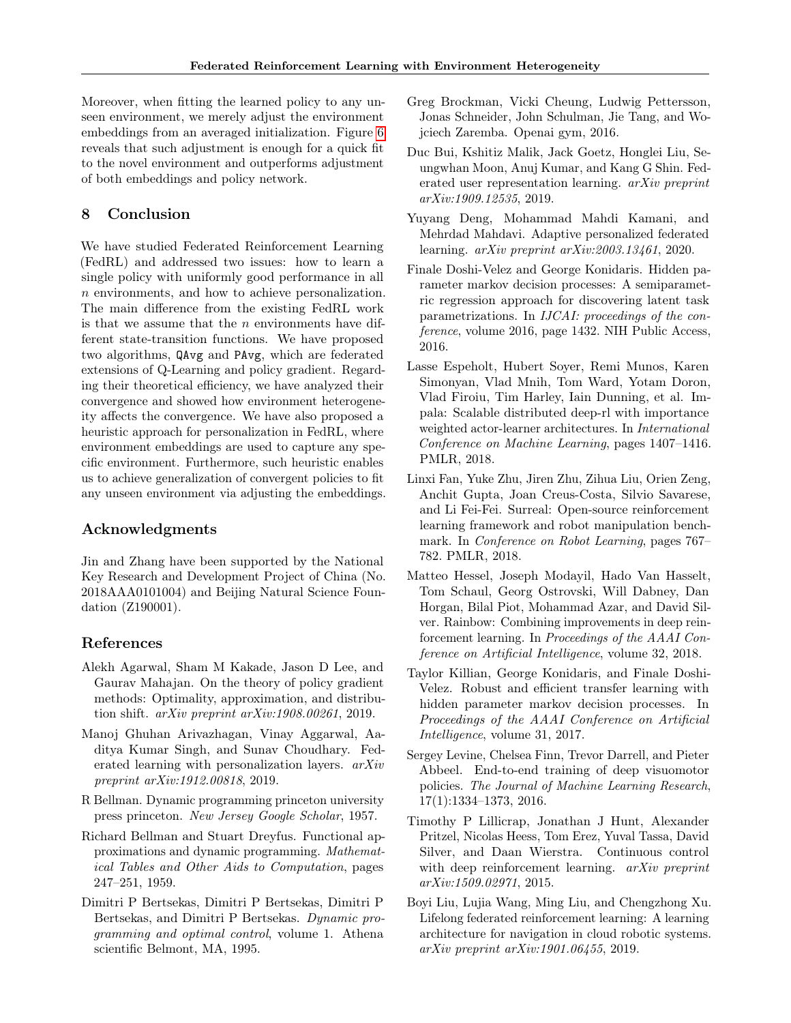Moreover, when fitting the learned policy to any unseen environment, we merely adjust the environment embeddings from an averaged initialization. Figure [6](#page-7-1) reveals that such adjustment is enough for a quick fit to the novel environment and outperforms adjustment of both embeddings and policy network.

# 8 Conclusion

We have studied Federated Reinforcement Learning (FedRL) and addressed two issues: how to learn a single policy with uniformly good performance in all n environments, and how to achieve personalization. The main difference from the existing FedRL work is that we assume that the  $n$  environments have different state-transition functions. We have proposed two algorithms, QAvg and PAvg, which are federated extensions of Q-Learning and policy gradient. Regarding their theoretical efficiency, we have analyzed their convergence and showed how environment heterogeneity affects the convergence. We have also proposed a heuristic approach for personalization in FedRL, where environment embeddings are used to capture any specific environment. Furthermore, such heuristic enables us to achieve generalization of convergent policies to fit any unseen environment via adjusting the embeddings.

# Acknowledgments

Jin and Zhang have been supported by the National Key Research and Development Project of China (No. 2018AAA0101004) and Beijing Natural Science Foundation (Z190001).

# References

- <span id="page-8-7"></span>Alekh Agarwal, Sham M Kakade, Jason D Lee, and Gaurav Mahajan. On the theory of policy gradient methods: Optimality, approximation, and distribution shift. arXiv preprint arXiv:1908.00261, 2019.
- <span id="page-8-10"></span>Manoj Ghuhan Arivazhagan, Vinay Aggarwal, Aaditya Kumar Singh, and Sunav Choudhary. Federated learning with personalization layers. arXiv preprint arXiv:1912.00818, 2019.
- <span id="page-8-5"></span>R Bellman. Dynamic programming princeton university press princeton. New Jersey Google Scholar, 1957.
- <span id="page-8-13"></span>Richard Bellman and Stuart Dreyfus. Functional approximations and dynamic programming. Mathematical Tables and Other Aids to Computation, pages 247–251, 1959.
- <span id="page-8-6"></span>Dimitri P Bertsekas, Dimitri P Bertsekas, Dimitri P Bertsekas, and Dimitri P Bertsekas. Dynamic programming and optimal control, volume 1. Athena scientific Belmont, MA, 1995.
- <span id="page-8-14"></span>Greg Brockman, Vicki Cheung, Ludwig Pettersson, Jonas Schneider, John Schulman, Jie Tang, and Wojciech Zaremba. Openai gym, 2016.
- <span id="page-8-12"></span>Duc Bui, Kshitiz Malik, Jack Goetz, Honglei Liu, Seungwhan Moon, Anuj Kumar, and Kang G Shin. Federated user representation learning. arXiv preprint arXiv:1909.12535, 2019.
- <span id="page-8-11"></span>Yuyang Deng, Mohammad Mahdi Kamani, and Mehrdad Mahdavi. Adaptive personalized federated learning. arXiv preprint arXiv:2003.13461, 2020.
- <span id="page-8-3"></span>Finale Doshi-Velez and George Konidaris. Hidden parameter markov decision processes: A semiparametric regression approach for discovering latent task parametrizations. In IJCAI: proceedings of the conference, volume 2016, page 1432. NIH Public Access, 2016.
- <span id="page-8-8"></span>Lasse Espeholt, Hubert Soyer, Remi Munos, Karen Simonyan, Vlad Mnih, Tom Ward, Yotam Doron, Vlad Firoiu, Tim Harley, Iain Dunning, et al. Impala: Scalable distributed deep-rl with importance weighted actor-learner architectures. In International Conference on Machine Learning, pages 1407–1416. PMLR, 2018.
- <span id="page-8-1"></span>Linxi Fan, Yuke Zhu, Jiren Zhu, Zihua Liu, Orien Zeng, Anchit Gupta, Joan Creus-Costa, Silvio Savarese, and Li Fei-Fei. Surreal: Open-source reinforcement learning framework and robot manipulation benchmark. In Conference on Robot Learning, pages 767– 782. PMLR, 2018.
- <span id="page-8-0"></span>Matteo Hessel, Joseph Modayil, Hado Van Hasselt, Tom Schaul, Georg Ostrovski, Will Dabney, Dan Horgan, Bilal Piot, Mohammad Azar, and David Silver. Rainbow: Combining improvements in deep reinforcement learning. In Proceedings of the AAAI Conference on Artificial Intelligence, volume 32, 2018.
- <span id="page-8-4"></span>Taylor Killian, George Konidaris, and Finale Doshi-Velez. Robust and efficient transfer learning with hidden parameter markov decision processes. In Proceedings of the AAAI Conference on Artificial Intelligence, volume 31, 2017.
- <span id="page-8-2"></span>Sergey Levine, Chelsea Finn, Trevor Darrell, and Pieter Abbeel. End-to-end training of deep visuomotor policies. The Journal of Machine Learning Research, 17(1):1334–1373, 2016.
- <span id="page-8-15"></span>Timothy P Lillicrap, Jonathan J Hunt, Alexander Pritzel, Nicolas Heess, Tom Erez, Yuval Tassa, David Silver, and Daan Wierstra. Continuous control with deep reinforcement learning. arXiv preprint arXiv:1509.02971, 2015.
- <span id="page-8-9"></span>Boyi Liu, Lujia Wang, Ming Liu, and Chengzhong Xu. Lifelong federated reinforcement learning: A learning architecture for navigation in cloud robotic systems. arXiv preprint arXiv:1901.06455, 2019.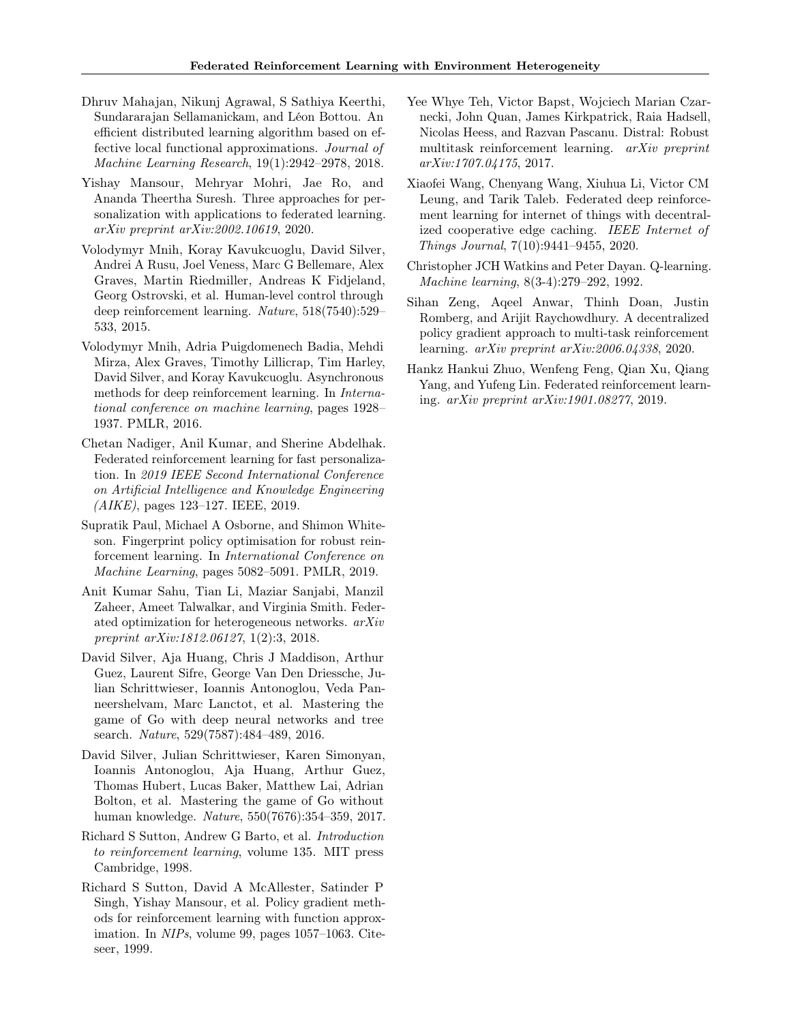- <span id="page-9-8"></span>Dhruv Mahajan, Nikunj Agrawal, S Sathiya Keerthi, Sundararajan Sellamanickam, and Léon Bottou. An efficient distributed learning algorithm based on effective local functional approximations. Journal of Machine Learning Research, 19(1):2942–2978, 2018.
- <span id="page-9-13"></span>Yishay Mansour, Mehryar Mohri, Jae Ro, and Ananda Theertha Suresh. Three approaches for personalization with applications to federated learning. arXiv preprint arXiv:2002.10619, 2020.
- <span id="page-9-15"></span>Volodymyr Mnih, Koray Kavukcuoglu, David Silver, Andrei A Rusu, Joel Veness, Marc G Bellemare, Alex Graves, Martin Riedmiller, Andreas K Fidjeland, Georg Ostrovski, et al. Human-level control through deep reinforcement learning. Nature, 518(7540):529– 533, 2015.
- <span id="page-9-5"></span>Volodymyr Mnih, Adria Puigdomenech Badia, Mehdi Mirza, Alex Graves, Timothy Lillicrap, Tim Harley, David Silver, and Koray Kavukcuoglu. Asynchronous methods for deep reinforcement learning. In International conference on machine learning, pages 1928– 1937. PMLR, 2016.
- <span id="page-9-10"></span>Chetan Nadiger, Anil Kumar, and Sherine Abdelhak. Federated reinforcement learning for fast personalization. In 2019 IEEE Second International Conference on Artificial Intelligence and Knowledge Engineering (AIKE), pages 123–127. IEEE, 2019.
- <span id="page-9-14"></span>Supratik Paul, Michael A Osborne, and Shimon Whiteson. Fingerprint policy optimisation for robust reinforcement learning. In International Conference on Machine Learning, pages 5082–5091. PMLR, 2019.
- <span id="page-9-9"></span>Anit Kumar Sahu, Tian Li, Maziar Sanjabi, Manzil Zaheer, Ameet Talwalkar, and Virginia Smith. Federated optimization for heterogeneous networks. arXiv preprint arXiv:1812.06127, 1(2):3, 2018.
- <span id="page-9-1"></span>David Silver, Aja Huang, Chris J Maddison, Arthur Guez, Laurent Sifre, George Van Den Driessche, Julian Schrittwieser, Ioannis Antonoglou, Veda Panneershelvam, Marc Lanctot, et al. Mastering the game of Go with deep neural networks and tree search. Nature, 529(7587):484–489, 2016.
- <span id="page-9-2"></span>David Silver, Julian Schrittwieser, Karen Simonyan, Ioannis Antonoglou, Aja Huang, Arthur Guez, Thomas Hubert, Lucas Baker, Matthew Lai, Adrian Bolton, et al. Mastering the game of Go without human knowledge. Nature, 550(7676):354–359, 2017.
- <span id="page-9-0"></span>Richard S Sutton, Andrew G Barto, et al. Introduction to reinforcement learning, volume 135. MIT press Cambridge, 1998.
- <span id="page-9-4"></span>Richard S Sutton, David A McAllester, Satinder P Singh, Yishay Mansour, et al. Policy gradient methods for reinforcement learning with function approximation. In NIPs, volume 99, pages 1057–1063. Citeseer, 1999.
- <span id="page-9-6"></span>Yee Whye Teh, Victor Bapst, Wojciech Marian Czarnecki, John Quan, James Kirkpatrick, Raia Hadsell, Nicolas Heess, and Razvan Pascanu. Distral: Robust multitask reinforcement learning. arXiv preprint arXiv:1707.04175, 2017.
- <span id="page-9-11"></span>Xiaofei Wang, Chenyang Wang, Xiuhua Li, Victor CM Leung, and Tarik Taleb. Federated deep reinforcement learning for internet of things with decentralized cooperative edge caching. IEEE Internet of Things Journal, 7(10):9441–9455, 2020.
- <span id="page-9-3"></span>Christopher JCH Watkins and Peter Dayan. Q-learning. Machine learning, 8(3-4):279–292, 1992.
- <span id="page-9-7"></span>Sihan Zeng, Aqeel Anwar, Thinh Doan, Justin Romberg, and Arijit Raychowdhury. A decentralized policy gradient approach to multi-task reinforcement learning. arXiv preprint arXiv:2006.04338, 2020.
- <span id="page-9-12"></span>Hankz Hankui Zhuo, Wenfeng Feng, Qian Xu, Qiang Yang, and Yufeng Lin. Federated reinforcement learning. arXiv preprint arXiv:1901.08277, 2019.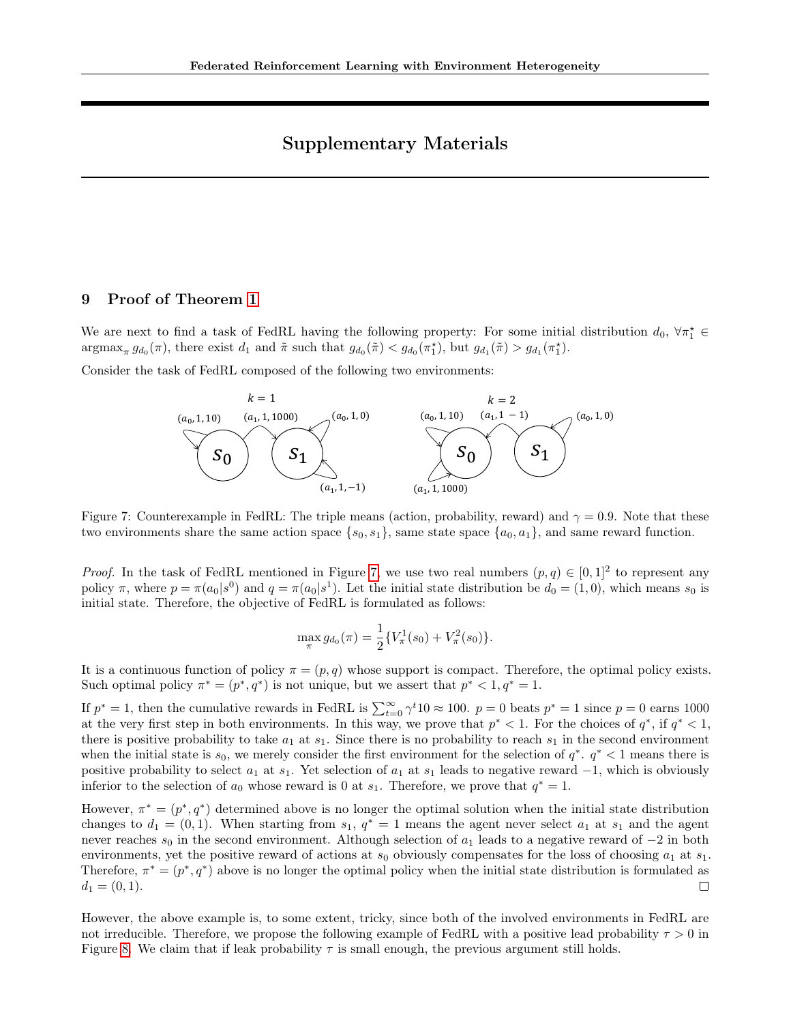# Supplementary Materials

# 9 Proof of Theorem [1](#page-2-1)

We are next to find a task of FedRL having the following property: For some initial distribution  $d_0$ ,  $\forall \pi_1^* \in$  $\arg\max_{\pi} g_{d_0}(\pi)$ , there exist  $d_1$  and  $\tilde{\pi}$  such that  $g_{d_0}(\tilde{\pi}) < g_{d_0}(\pi_1^{\star})$ , but  $g_{d_1}(\tilde{\pi}) > g_{d_1}(\pi_1^{\star})$ .

<span id="page-10-0"></span>Consider the task of FedRL composed of the following two environments:



Figure 7: Counterexample in FedRL: The triple means (action, probability, reward) and  $\gamma = 0.9$ . Note that these two environments share the same action space  $\{s_0, s_1\}$ , same state space  $\{a_0, a_1\}$ , and same reward function.

*Proof.* In the task of FedRL mentioned in Figure [7,](#page-10-0) we use two real numbers  $(p,q) \in [0,1]^2$  to represent any policy  $\pi$ , where  $p = \pi(a_0|s^0)$  and  $q = \pi(a_0|s^1)$ . Let the initial state distribution be  $d_0 = (1,0)$ , which means  $s_0$  is initial state. Therefore, the objective of FedRL is formulated as follows:

$$
\max_{\pi} g_{d_0}(\pi) = \frac{1}{2} \{ V_{\pi}^1(s_0) + V_{\pi}^2(s_0) \}.
$$

It is a continuous function of policy  $\pi = (p, q)$  whose support is compact. Therefore, the optimal policy exists. Such optimal policy  $\pi^* = (p^*, q^*)$  is not unique, but we assert that  $p^* < 1, q^* = 1$ .

If  $p^* = 1$ , then the cumulative rewards in FedRL is  $\sum_{t=0}^{\infty} \gamma^t 10 \approx 100$ .  $p = 0$  beats  $p^* = 1$  since  $p = 0$  earns 1000 at the very first step in both environments. In this way, we prove that  $p^* < 1$ . For the choices of  $q^*$ , if  $q^* < 1$ , there is positive probability to take  $a_1$  at  $s_1$ . Since there is no probability to reach  $s_1$  in the second environment when the initial state is  $s_0$ , we merely consider the first environment for the selection of  $q^*$ .  $q^*$  < 1 means there is positive probability to select  $a_1$  at  $s_1$ . Yet selection of  $a_1$  at  $s_1$  leads to negative reward  $-1$ , which is obviously inferior to the selection of  $a_0$  whose reward is 0 at  $s_1$ . Therefore, we prove that  $q^* = 1$ .

However,  $\pi^* = (p^*, q^*)$  determined above is no longer the optimal solution when the initial state distribution changes to  $d_1 = (0, 1)$ . When starting from  $s_1, q^* = 1$  means the agent never select  $a_1$  at  $s_1$  and the agent never reaches  $s_0$  in the second environment. Although selection of  $a_1$  leads to a negative reward of  $-2$  in both environments, yet the positive reward of actions at  $s_0$  obviously compensates for the loss of choosing  $a_1$  at  $s_1$ . Therefore,  $\pi^* = (p^*, q^*)$  above is no longer the optimal policy when the initial state distribution is formulated as  $d_1 = (0, 1).$  $\Box$ 

However, the above example is, to some extent, tricky, since both of the involved environments in FedRL are not irreducible. Therefore, we propose the following example of FedRL with a positive lead probability  $\tau > 0$  in Figure [8.](#page-11-0) We claim that if leak probability  $\tau$  is small enough, the previous argument still holds.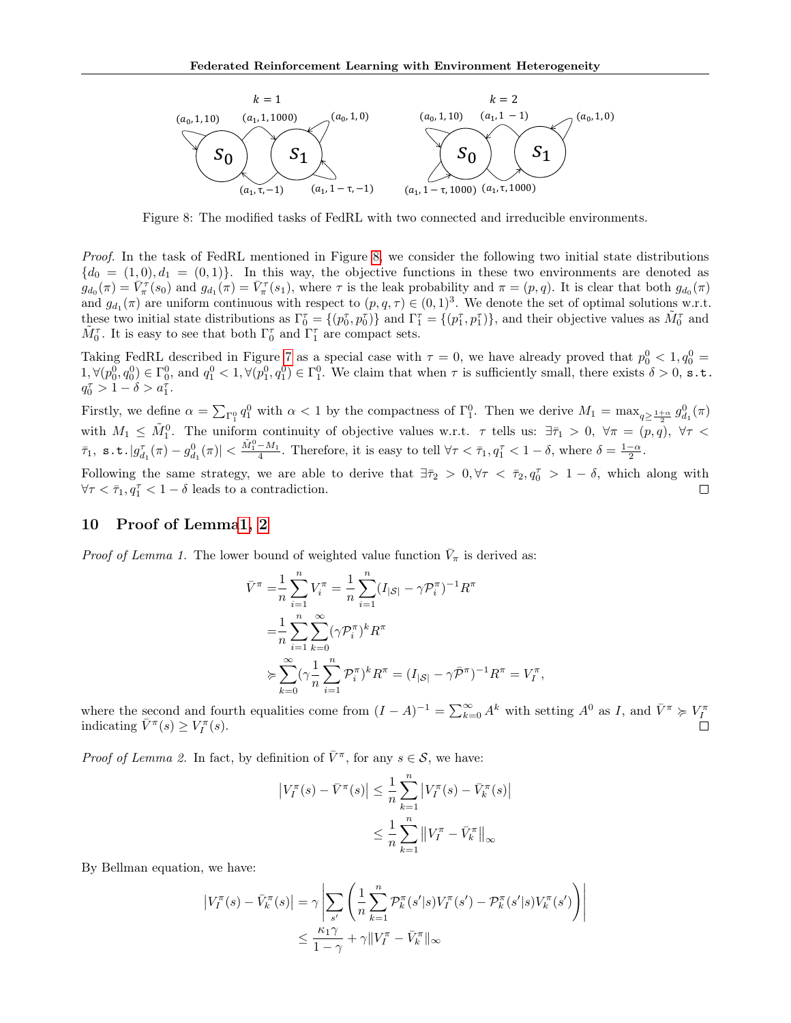<span id="page-11-0"></span>

Figure 8: The modified tasks of FedRL with two connected and irreducible environments.

Proof. In the task of FedRL mentioned in Figure [8,](#page-11-0) we consider the following two initial state distributions  ${d_0 = (1,0), d_1 = (0,1)}$ . In this way, the objective functions in these two environments are denoted as  $g_{d_0}(\pi) = \overline{V}_\pi^{\tau}(s_0)$  and  $g_{d_1}(\pi) = \overline{V}_\pi^{\tau}(s_1)$ , where  $\tau$  is the leak probability and  $\pi = (p, q)$ . It is clear that both  $g_{d_0}(\pi)$ and  $g_{d_1}(\pi)$  are uniform continuous with respect to  $(p, q, \tau) \in (0, 1)^3$ . We denote the set of optimal solutions w.r.t. these two initial state distributions as  $\Gamma_0^{\tau} = \{(p_0^{\tau}, p_0^{\tau})\}$  and  $\Gamma_1^{\tau} = \{(p_1^{\tau}, p_1^{\tau})\}$ , and their objective values as  $\tilde{M}_0^{\tau}$  and  $\tilde{M}_0^{\tau}$ . It is easy to see that both  $\Gamma_0^{\tau}$  and  $\tilde{\Gamma}_1^{\tau}$  are compact sets.

Taking FedRL described in Figure [7](#page-10-0) as a special case with  $\tau = 0$ , we have already proved that  $p_0^0 < 1, q_0^0 =$  $1, \forall (p_0^0, q_0^0) \in \Gamma_0^0$ , and  $q_1^0 < 1, \forall (p_1^0, q_1^0) \in \Gamma_1^0$ . We claim that when  $\tau$  is sufficiently small, there exists  $\delta > 0$ , s.t.  $q_0^{\tau} > 1 - \delta > a_1^{\tau}.$ 

Firstly, we define  $\alpha = \sum_{\Gamma_1^0} q_1^0$  with  $\alpha < 1$  by the compactness of  $\Gamma_1^0$ . Then we derive  $M_1 = \max_{q \ge \frac{1+\alpha}{2}} g_{d_1}^0(\pi)$ with  $M_1 \leq \tilde{M}_1^0$ . The uniform continuity of objective values w.r.t.  $\tau$  tells us:  $\exists \bar{\tau}_1 > 0$ ,  $\forall \pi = (p, q)$ ,  $\forall \tau <$  $|\bar{\tau}_1, \text{ s.t. } |g_{d_1}^{\tau}(\pi) - g_{d_1}^0(\pi)| < \frac{\tilde{M}_1^0 - M_1}{4}$ . Therefore, it is easy to tell  $\forall \tau < \bar{\tau}_1, q_1^{\tau} < 1 - \delta$ , where  $\delta = \frac{1-\alpha}{2}$ .

Following the same strategy, we are able to derive that  $\exists \bar{\tau}_2 > 0, \forall \tau < \bar{\tau}_2, q_0^{\tau} > 1 - \delta$ , which along with  $\forall \tau \leq \bar{\tau}_1, q_1^{\tau} < 1 - \delta$  leads to a contradiction.  $\Box$ 

#### 10 Proof of Lemm[a1,](#page-4-0) [2](#page-4-1)

*Proof of Lemma 1.* The lower bound of weighted value function  $\bar{V}_{\pi}$  is derived as:

$$
\bar{V}^{\pi} = \frac{1}{n} \sum_{i=1}^{n} V_i^{\pi} = \frac{1}{n} \sum_{i=1}^{n} (I_{|\mathcal{S}|} - \gamma \mathcal{P}_i^{\pi})^{-1} R^{\pi}
$$

$$
= \frac{1}{n} \sum_{i=1}^{n} \sum_{k=0}^{\infty} (\gamma \mathcal{P}_i^{\pi})^k R^{\pi}
$$

$$
\geq \sum_{k=0}^{\infty} (\gamma \frac{1}{n} \sum_{i=1}^{n} \mathcal{P}_i^{\pi})^k R^{\pi} = (I_{|\mathcal{S}|} - \gamma \bar{\mathcal{P}}^{\pi})^{-1} R^{\pi} = V_I^{\pi}
$$

where the second and fourth equalities come from  $(I - A)^{-1} = \sum_{k=0}^{\infty} A^k$  with setting  $A^0$  as I, and  $\bar{V}^{\pi} \ge V_I^{\pi}$ indicating  $\bar{V}^{\pi}(s) \geq V_I^{\pi}(s)$ .

,

*Proof of Lemma 2.* In fact, by definition of  $\bar{V}^{\pi}$ , for any  $s \in \mathcal{S}$ , we have:

$$
\begin{aligned} \left| V_I^{\pi}(s) - \bar{V}^{\pi}(s) \right| &\leq \frac{1}{n} \sum_{k=1}^n \left| V_I^{\pi}(s) - \bar{V}_k^{\pi}(s) \right| \\ &\leq \frac{1}{n} \sum_{k=1}^n \left\| V_I^{\pi} - \bar{V}_k^{\pi} \right\|_{\infty} \end{aligned}
$$

By Bellman equation, we have:

$$
\left|V_I^{\pi}(s) - \bar{V}_k^{\pi}(s)\right| = \gamma \left| \sum_{s'} \left( \frac{1}{n} \sum_{k=1}^n \mathcal{P}_k^{\pi}(s'|s) V_I^{\pi}(s') - \mathcal{P}_k^{\pi}(s'|s) V_k^{\pi}(s') \right) \right|
$$
  

$$
\leq \frac{\kappa_1 \gamma}{1 - \gamma} + \gamma \|V_I^{\pi} - \bar{V}_k^{\pi}\|_{\infty}
$$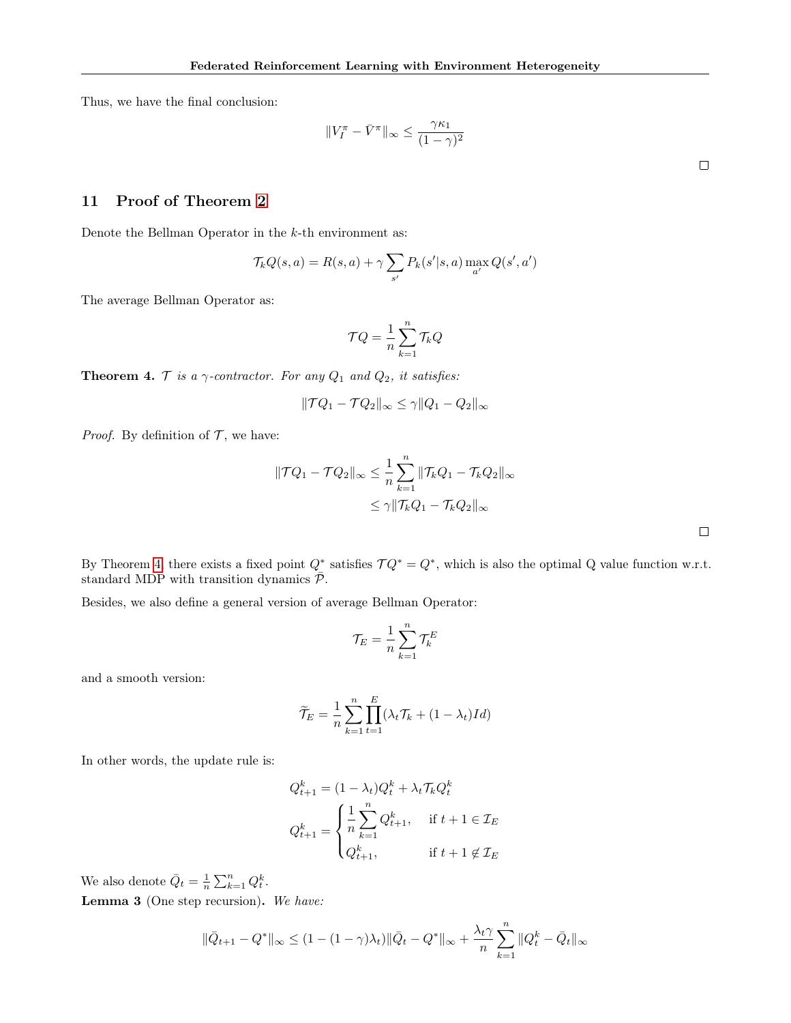Thus, we have the final conclusion:

$$
||V_I^{\pi} - \bar{V}^{\pi}||_{\infty} \le \frac{\gamma \kappa_1}{(1 - \gamma)^2}
$$

 $\Box$ 

### 11 Proof of Theorem [2](#page-4-2)

Denote the Bellman Operator in the  $k$ -th environment as:

$$
\mathcal{T}_k Q(s, a) = R(s, a) + \gamma \sum_{s'} P_k(s'|s, a) \max_{a'} Q(s', a')
$$

The average Bellman Operator as:

$$
\mathcal{T} Q = \frac{1}{n} \sum_{k=1}^{n} \mathcal{T}_k Q
$$

<span id="page-12-0"></span>**Theorem 4.**  $\mathcal T$  is a  $\gamma$ -contractor. For any  $Q_1$  and  $Q_2$ , it satisfies:

$$
\|\mathcal{T}Q_1-\mathcal{T}Q_2\|_{\infty}\leq \gamma\|Q_1-Q_2\|_{\infty}
$$

*Proof.* By definition of  $\mathcal{T}$ , we have:

$$
\begin{aligned} \|\mathcal{T}Q_1 - \mathcal{T}Q_2\|_{\infty} &\leq \frac{1}{n} \sum_{k=1}^n \|\mathcal{T}_k Q_1 - \mathcal{T}_k Q_2\|_{\infty} \\ &\leq \gamma \|\mathcal{T}_k Q_1 - \mathcal{T}_k Q_2\|_{\infty} \end{aligned}
$$

By Theorem [4,](#page-12-0) there exists a fixed point  $Q^*$  satisfies  $T Q^* = Q^*$ , which is also the optimal Q value function w.r.t. standard MDP with transition dynamics  $\overline{\mathcal{P}}$ .

Besides, we also define a general version of average Bellman Operator:

$$
\mathcal{T}_E = \frac{1}{n}\sum_{k=1}^n \mathcal{T}_k^E
$$

and a smooth version:

$$
\widetilde{\mathcal{T}}_E = \frac{1}{n} \sum_{k=1}^n \prod_{t=1}^E (\lambda_t \mathcal{T}_k + (1 - \lambda_t)Id)
$$

In other words, the update rule is:

$$
Q_{t+1}^k = (1 - \lambda_t)Q_t^k + \lambda_t \mathcal{T}_k Q_t^k
$$

$$
Q_{t+1}^k = \begin{cases} \frac{1}{n} \sum_{k=1}^n Q_{t+1}^k, & \text{if } t+1 \in \mathcal{I}_E \\ Q_{t+1}^k, & \text{if } t+1 \notin \mathcal{I}_E \end{cases}
$$

<span id="page-12-1"></span>We also denote  $\bar{Q}_t = \frac{1}{n} \sum_{k=1}^n Q_t^k$ . Lemma 3 (One step recursion). We have:

$$
\|\bar{Q}_{t+1}-Q^*\|_\infty\leq (1-(1-\gamma)\lambda_t)\|\bar{Q}_t-Q^*\|_\infty+\frac{\lambda_t\gamma}{n}\sum_{k=1}^n\|Q_t^k-\bar{Q}_t\|_\infty
$$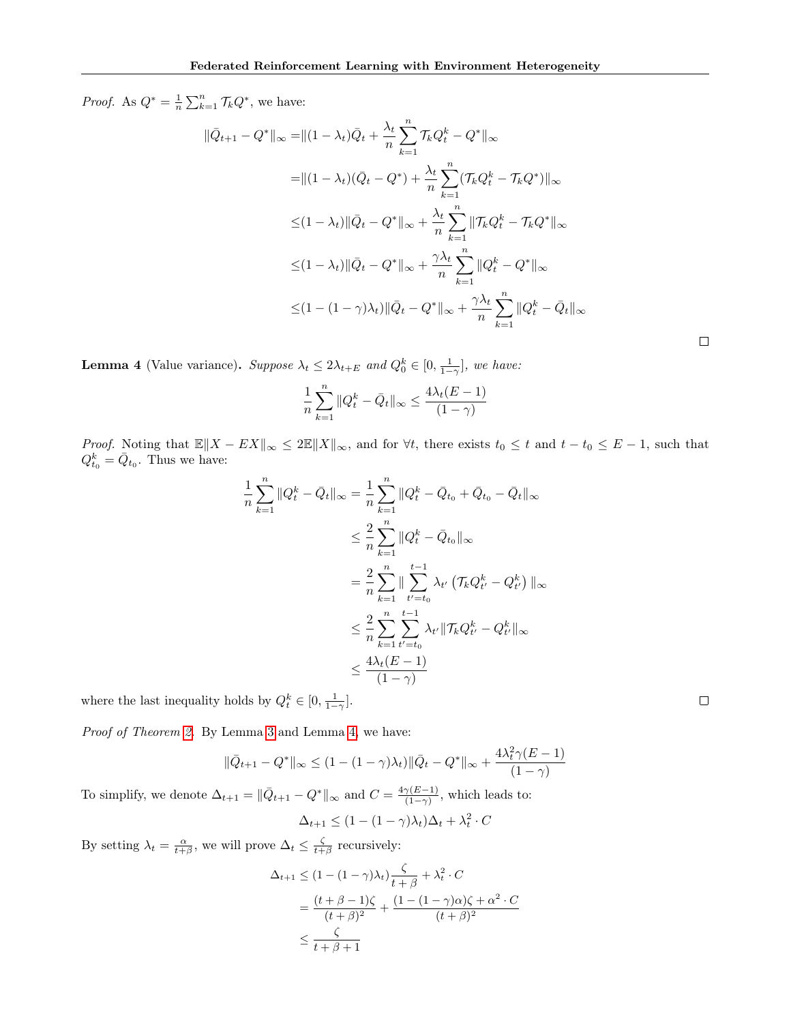*Proof.* As  $Q^* = \frac{1}{n} \sum_{k=1}^n \mathcal{T}_k Q^*$ , we have:

$$
\|\bar{Q}_{t+1} - Q^*\|_{\infty} = \|(1 - \lambda_t)\bar{Q}_t + \frac{\lambda_t}{n} \sum_{k=1}^n \mathcal{T}_k Q_t^k - Q^*\|_{\infty}
$$
  
\n
$$
= \|(1 - \lambda_t)(\bar{Q}_t - Q^*) + \frac{\lambda_t}{n} \sum_{k=1}^n (\mathcal{T}_k Q_t^k - \mathcal{T}_k Q^*)\|_{\infty}
$$
  
\n
$$
\leq (1 - \lambda_t) \|\bar{Q}_t - Q^*\|_{\infty} + \frac{\lambda_t}{n} \sum_{k=1}^n \|\mathcal{T}_k Q_t^k - \mathcal{T}_k Q^*\|_{\infty}
$$
  
\n
$$
\leq (1 - \lambda_t) \|\bar{Q}_t - Q^*\|_{\infty} + \frac{\gamma \lambda_t}{n} \sum_{k=1}^n \|Q_t^k - Q^*\|_{\infty}
$$
  
\n
$$
\leq (1 - (1 - \gamma)\lambda_t) \|\bar{Q}_t - Q^*\|_{\infty} + \frac{\gamma \lambda_t}{n} \sum_{k=1}^n \|Q_t^k - \bar{Q}_t\|_{\infty}
$$

<span id="page-13-0"></span>**Lemma 4** (Value variance). Suppose  $\lambda_t \leq 2\lambda_{t+E}$  and  $Q_0^k \in [0, \frac{1}{1-\gamma}]$ , we have:

$$
\frac{1}{n}\sum_{k=1}^{n}||Q_t^k - \bar{Q}_t||_{\infty} \le \frac{4\lambda_t(E-1)}{(1-\gamma)}
$$

*Proof.* Noting that  $\mathbb{E}\|X - EX\|_{\infty} \le 2\mathbb{E}\|X\|_{\infty}$ , and for  $\forall t$ , there exists  $t_0 \le t$  and  $t - t_0 \le E - 1$ , such that  $Q_{t_0}^k = \bar{Q}_{t_0}$ . Thus we have:

$$
\frac{1}{n} \sum_{k=1}^{n} \|Q_t^k - \bar{Q}_t\|_{\infty} = \frac{1}{n} \sum_{k=1}^{n} \|Q_t^k - \bar{Q}_{t_0} + \bar{Q}_{t_0} - \bar{Q}_t\|_{\infty}
$$
\n
$$
\leq \frac{2}{n} \sum_{k=1}^{n} \|Q_t^k - \bar{Q}_{t_0}\|_{\infty}
$$
\n
$$
= \frac{2}{n} \sum_{k=1}^{n} \sum_{t'=t_0}^{t-1} \lambda_{t'} (\mathcal{T}_k Q_{t'}^k - Q_{t'}^k) \|_{\infty}
$$
\n
$$
\leq \frac{2}{n} \sum_{k=1}^{n} \sum_{t'=t_0}^{t-1} \lambda_{t'} \|\mathcal{T}_k Q_{t'}^k - Q_{t'}^k\|_{\infty}
$$
\n
$$
\leq \frac{4\lambda_t (E - 1)}{(1 - \gamma)}
$$

where the last inequality holds by  $Q_t^k \in [0, \frac{1}{1-\gamma}]$ .

Proof of Theorem [2.](#page-4-2) By Lemma [3](#page-12-1) and Lemma [4,](#page-13-0) we have:

$$
\|\bar{Q}_{t+1} - Q^*\|_{\infty} \le (1 - (1 - \gamma)\lambda_t) \|\bar{Q}_t - Q^*\|_{\infty} + \frac{4\lambda_t^2 \gamma (E - 1)}{(1 - \gamma)}
$$

To simplify, we denote  $\Delta_{t+1} = ||\bar{Q}_{t+1} - Q^*||_{\infty}$  and  $C = \frac{4\gamma(E-1)}{(1-\gamma)}$  $\frac{\gamma(E-1)}{(1-\gamma)}$ , which leads to:

$$
\Delta_{t+1} \le (1 - (1 - \gamma)\lambda_t)\Delta_t + \lambda_t^2 \cdot C
$$

By setting  $\lambda_t = \frac{\alpha}{t+\beta}$ , we will prove  $\Delta_t \leq \frac{\zeta}{t+\beta}$  recursively:

$$
\Delta_{t+1} \le (1 - (1 - \gamma)\lambda_t) \frac{\zeta}{t + \beta} + \lambda_t^2 \cdot C
$$
  
= 
$$
\frac{(t + \beta - 1)\zeta}{(t + \beta)^2} + \frac{(1 - (1 - \gamma)\alpha)\zeta + \alpha^2 \cdot C}{(t + \beta)^2}
$$
  

$$
\le \frac{\zeta}{t + \beta + 1}
$$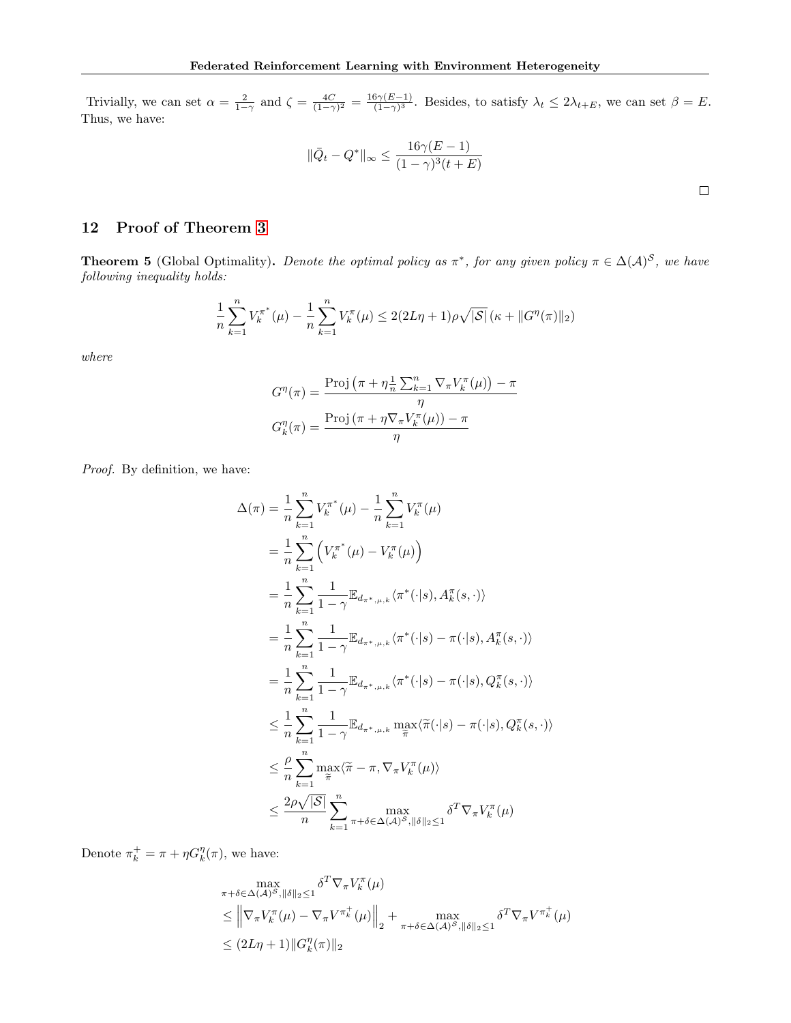Trivially, we can set  $\alpha = \frac{2}{1-\gamma}$  and  $\zeta = \frac{4C}{(1-\gamma)^2} = \frac{16\gamma(E-1)}{(1-\gamma)^3}$  $\frac{\partial \gamma(E-1)}{(1-\gamma)^3}$ . Besides, to satisfy  $\lambda_t \leq 2\lambda_{t+E}$ , we can set  $\beta = E$ . Thus, we have:

$$
\|\bar{Q}_t - Q^*\|_{\infty} \le \frac{16\gamma(E-1)}{(1-\gamma)^3(t+E)}
$$

# 12 Proof of Theorem [3](#page-4-3)

**Theorem 5** (Global Optimality). Denote the optimal policy as  $\pi^*$ , for any given policy  $\pi \in \Delta(\mathcal{A})^{\mathcal{S}}$ , we have following inequality holds:

$$
\frac{1}{n}\sum_{k=1}^{n}V_k^{\pi^*}(\mu) - \frac{1}{n}\sum_{k=1}^{n}V_k^{\pi}(\mu) \le 2(2L\eta + 1)\rho\sqrt{|\mathcal{S}|}(\kappa + \|G^{\eta}(\pi)\|_2)
$$

where

$$
G^{\eta}(\pi) = \frac{\text{Proj}(\pi + \eta \frac{1}{n} \sum_{k=1}^{n} \nabla_{\pi} V_{k}^{\pi}(\mu)) - \pi}{\eta}
$$

$$
G_{k}^{\eta}(\pi) = \frac{\text{Proj}(\pi + \eta \nabla_{\pi} V_{k}^{\pi}(\mu)) - \pi}{\eta}
$$

Proof. By definition, we have:

$$
\Delta(\pi) = \frac{1}{n} \sum_{k=1}^{n} V_{k}^{\pi^{*}}(\mu) - \frac{1}{n} \sum_{k=1}^{n} V_{k}^{\pi}(\mu)
$$
  
\n
$$
= \frac{1}{n} \sum_{k=1}^{n} \left( V_{k}^{\pi^{*}}(\mu) - V_{k}^{\pi}(\mu) \right)
$$
  
\n
$$
= \frac{1}{n} \sum_{k=1}^{n} \frac{1}{1 - \gamma} \mathbb{E}_{d_{\pi^{*},\mu,k}} \langle \pi^{*}(\cdot|s), A_{k}^{\pi}(s, \cdot) \rangle
$$
  
\n
$$
= \frac{1}{n} \sum_{k=1}^{n} \frac{1}{1 - \gamma} \mathbb{E}_{d_{\pi^{*},\mu,k}} \langle \pi^{*}(\cdot|s) - \pi(\cdot|s), A_{k}^{\pi}(s, \cdot) \rangle
$$
  
\n
$$
= \frac{1}{n} \sum_{k=1}^{n} \frac{1}{1 - \gamma} \mathbb{E}_{d_{\pi^{*},\mu,k}} \langle \pi^{*}(\cdot|s) - \pi(\cdot|s), Q_{k}^{\pi}(s, \cdot) \rangle
$$
  
\n
$$
\leq \frac{1}{n} \sum_{k=1}^{n} \frac{1}{1 - \gamma} \mathbb{E}_{d_{\pi^{*},\mu,k}} \max_{\widetilde{\pi}} \langle \widetilde{\pi}(\cdot|s) - \pi(\cdot|s), Q_{k}^{\pi}(s, \cdot) \rangle
$$
  
\n
$$
\leq \frac{\rho}{n} \sum_{k=1}^{n} \max_{\widetilde{\pi}} \langle \widetilde{\pi} - \pi, \nabla_{\pi} V_{k}^{\pi}(\mu) \rangle
$$
  
\n
$$
\leq \frac{2\rho \sqrt{|\mathcal{S}|}}{n} \sum_{k=1}^{n} \max_{\pi + \delta \in \Delta(\mathcal{A})^{\mathcal{S}}, |\delta|_{2} \leq 1} \delta^{T} \nabla_{\pi} V_{k}^{\pi}(\mu)
$$

Denote  $\pi_k^+ = \pi + \eta G_k^{\eta}(\pi)$ , we have:

$$
\max_{\pi+\delta\in\Delta(\mathcal{A})^{\mathcal{S}},\|\delta\|_2\leq 1} \delta^T \nabla_{\pi} V_k^{\pi}(\mu)
$$
\n
$$
\leq \left\|\nabla_{\pi} V_k^{\pi}(\mu) - \nabla_{\pi} V^{\pi_k^+}(\mu)\right\|_2 + \max_{\pi+\delta\in\Delta(\mathcal{A})^{\mathcal{S}},\|\delta\|_2\leq 1} \delta^T \nabla_{\pi} V^{\pi_k^+}(\mu)
$$
\n
$$
\leq (2L\eta+1) \|G_k^{\eta}(\pi)\|_2
$$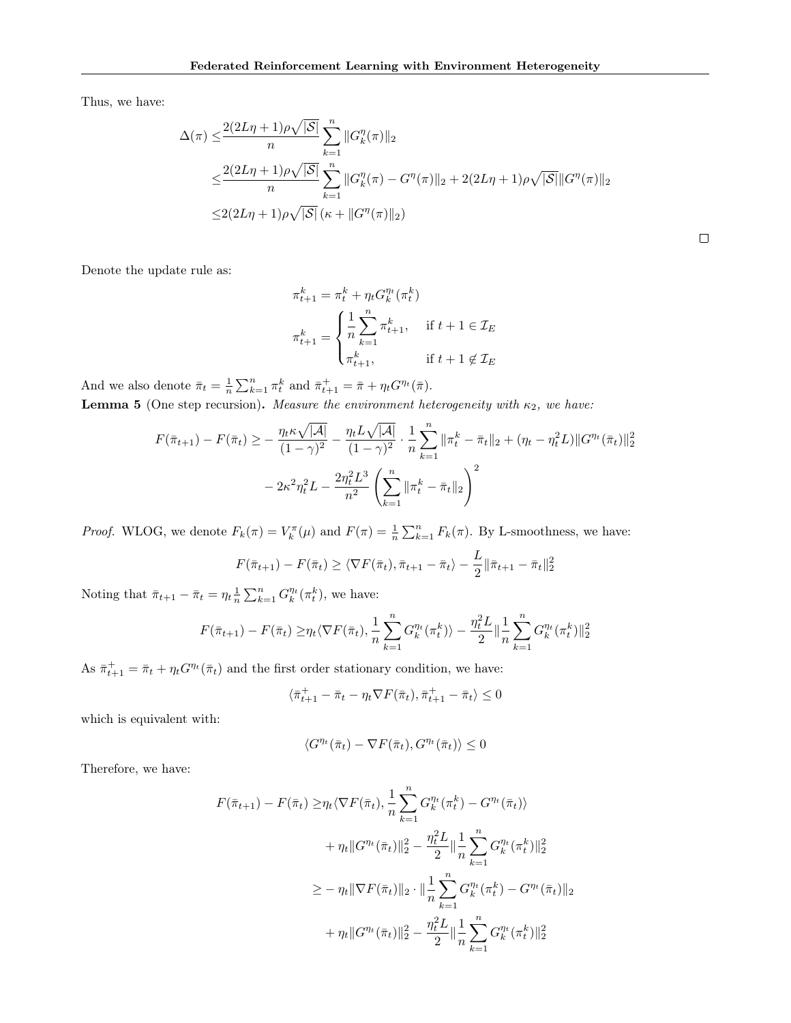Thus, we have:

$$
\Delta(\pi) \leq \frac{2(2L\eta + 1)\rho\sqrt{|\mathcal{S}|}}{n} \sum_{k=1}^{n} ||G_k^{\eta}(\pi)||_2
$$
  

$$
\leq \frac{2(2L\eta + 1)\rho\sqrt{|\mathcal{S}|}}{n} \sum_{k=1}^{n} ||G_k^{\eta}(\pi) - G^{\eta}(\pi)||_2 + 2(2L\eta + 1)\rho\sqrt{|\mathcal{S}|}||G^{\eta}(\pi)||_2
$$
  

$$
\leq 2(2L\eta + 1)\rho\sqrt{|\mathcal{S}|} (\kappa + ||G^{\eta}(\pi)||_2)
$$

Denote the update rule as:

$$
\pi_{t+1}^k = \pi_t^k + \eta_t G_k^{\eta_t}(\pi_t^k)
$$

$$
\pi_{t+1}^k = \begin{cases} \frac{1}{n} \sum_{k=1}^n \pi_{t+1}^k, & \text{if } t+1 \in \mathcal{I}_E \\ \pi_{t+1}^k, & \text{if } t+1 \notin \mathcal{I}_E \end{cases}
$$

<span id="page-15-0"></span>And we also denote  $\bar{\pi}_t = \frac{1}{n} \sum_{k=1}^n \pi_t^k$  and  $\bar{\pi}_{t+1}^+ = \bar{\pi} + \eta_t G^{\eta_t}(\bar{\pi})$ . **Lemma 5** (One step recursion). Measure the environment heterogeneity with  $\kappa_2$ , we have:

$$
F(\bar{\pi}_{t+1}) - F(\bar{\pi}_t) \ge -\frac{\eta_t \kappa \sqrt{|\mathcal{A}|}}{(1-\gamma)^2} - \frac{\eta_t L \sqrt{|\mathcal{A}|}}{(1-\gamma)^2} \cdot \frac{1}{n} \sum_{k=1}^n \|\pi_t^k - \bar{\pi}_t\|_2 + (\eta_t - \eta_t^2 L) \|G^{\eta_t}(\bar{\pi}_t)\|_2^2
$$

$$
-2\kappa^2 \eta_t^2 L - \frac{2\eta_t^2 L^3}{n^2} \left(\sum_{k=1}^n \|\pi_t^k - \bar{\pi}_t\|_2\right)^2
$$

*Proof.* WLOG, we denote  $F_k(\pi) = V_k^{\pi}(\mu)$  and  $F(\pi) = \frac{1}{n} \sum_{k=1}^n F_k(\pi)$ . By L-smoothness, we have:

$$
F(\bar{\pi}_{t+1}) - F(\bar{\pi}_t) \ge \langle \nabla F(\bar{\pi}_t), \bar{\pi}_{t+1} - \bar{\pi}_t \rangle - \frac{L}{2} ||\bar{\pi}_{t+1} - \bar{\pi}_t||_2^2
$$

Noting that  $\bar{\pi}_{t+1} - \bar{\pi}_t = \eta_t \frac{1}{n} \sum_{k=1}^n G_k^{\eta_t}(\pi_t^k)$ , we have:

$$
F(\bar{\pi}_{t+1}) - F(\bar{\pi}_t) \ge \eta_t \langle \nabla F(\bar{\pi}_t), \frac{1}{n} \sum_{k=1}^n G_k^{\eta_t}(\pi_t^k) \rangle - \frac{\eta_t^2 L}{2} \|\frac{1}{n} \sum_{k=1}^n G_k^{\eta_t}(\pi_t^k) \|_2^2
$$

As  $\bar{\pi}_{t+1}^+ = \bar{\pi}_t + \eta_t G^{\eta_t}(\bar{\pi}_t)$  and the first order stationary condition, we have:

$$
\langle \bar{\pi}_{t+1}^+ - \bar{\pi}_t - \eta_t \nabla F(\bar{\pi}_t), \bar{\pi}_{t+1}^+ - \bar{\pi}_t \rangle \le 0
$$

which is equivalent with:

$$
\langle G^{\eta_t}(\bar{\pi}_t) - \nabla F(\bar{\pi}_t), G^{\eta_t}(\bar{\pi}_t) \rangle \le 0
$$

Therefore, we have:

$$
F(\bar{\pi}_{t+1}) - F(\bar{\pi}_{t}) \ge \eta_{t} \langle \nabla F(\bar{\pi}_{t}), \frac{1}{n} \sum_{k=1}^{n} G_{k}^{\eta_{t}}(\pi_{t}^{k}) - G^{\eta_{t}}(\bar{\pi}_{t}) \rangle
$$
  
+  $\eta_{t} || G^{\eta_{t}}(\bar{\pi}_{t}) ||_{2}^{2} - \frac{\eta_{t}^{2} L}{2} || \frac{1}{n} \sum_{k=1}^{n} G_{k}^{\eta_{t}}(\pi_{t}^{k}) ||_{2}^{2}$   

$$
\ge - \eta_{t} || \nabla F(\bar{\pi}_{t}) ||_{2} \cdot || \frac{1}{n} \sum_{k=1}^{n} G_{k}^{\eta_{t}}(\pi_{t}^{k}) - G^{\eta_{t}}(\bar{\pi}_{t}) ||_{2}
$$
  
+  $\eta_{t} || G^{\eta_{t}}(\bar{\pi}_{t}) ||_{2}^{2} - \frac{\eta_{t}^{2} L}{2} || \frac{1}{n} \sum_{k=1}^{n} G_{k}^{\eta_{t}}(\pi_{t}^{k}) ||_{2}^{2}$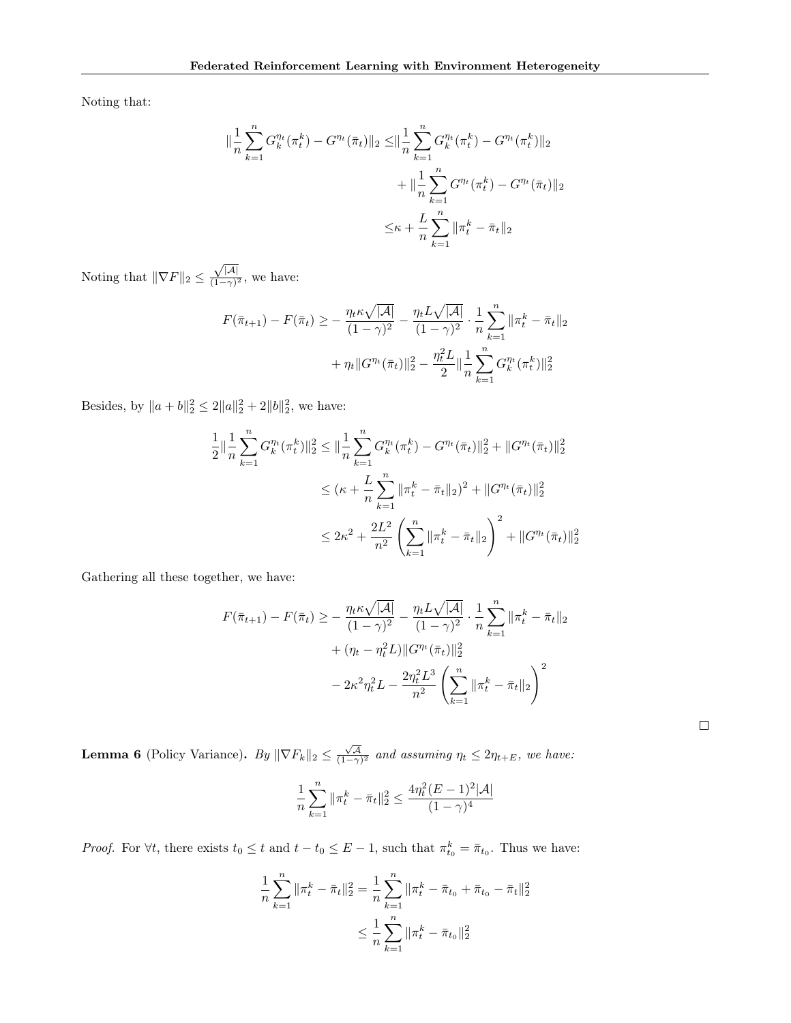Noting that:

$$
\|\frac{1}{n}\sum_{k=1}^{n} G_{k}^{\eta_{t}}(\pi_{t}^{k}) - G^{\eta_{t}}(\bar{\pi}_{t})\|_{2} \leq \|\frac{1}{n}\sum_{k=1}^{n} G_{k}^{\eta_{t}}(\pi_{t}^{k}) - G^{\eta_{t}}(\pi_{t}^{k})\|_{2}
$$

$$
+ \|\frac{1}{n}\sum_{k=1}^{n} G^{\eta_{t}}(\pi_{t}^{k}) - G^{\eta_{t}}(\bar{\pi}_{t})\|_{2}
$$

$$
\leq \kappa + \frac{L}{n}\sum_{k=1}^{n} \|\pi_{t}^{k} - \bar{\pi}_{t}\|_{2}
$$

Noting that  $\|\nabla F\|_2 \leq$  $\sqrt{|\mathcal{A}|}$  $\frac{\sqrt{1-\gamma}}{(1-\gamma)^2}$ , we have:

$$
F(\bar{\pi}_{t+1}) - F(\bar{\pi}_t) \ge -\frac{\eta_t \kappa \sqrt{|\mathcal{A}|}}{(1-\gamma)^2} - \frac{\eta_t L \sqrt{|\mathcal{A}|}}{(1-\gamma)^2} \cdot \frac{1}{n} \sum_{k=1}^n \|\pi_t^k - \bar{\pi}_t\|_2
$$

$$
+ \eta_t \|G^{\eta_t}(\bar{\pi}_t)\|_2^2 - \frac{\eta_t^2 L}{2} \|\frac{1}{n} \sum_{k=1}^n G_k^{\eta_t}(\pi_t^k) \|_2^2
$$

Besides, by  $||a + b||_2^2 \le 2||a||_2^2 + 2||b||_2^2$ , we have:

$$
\frac{1}{2} \|\frac{1}{n}\sum_{k=1}^{n} G_k^{\eta_t}(\pi_t^k)\|_2^2 \le \|\frac{1}{n}\sum_{k=1}^{n} G_k^{\eta_t}(\pi_t^k) - G^{\eta_t}(\bar{\pi}_t)\|_2^2 + \|G^{\eta_t}(\bar{\pi}_t)\|_2^2
$$
  

$$
\le (\kappa + \frac{L}{n}\sum_{k=1}^{n} \|\pi_t^k - \bar{\pi}_t\|_2)^2 + \|G^{\eta_t}(\bar{\pi}_t)\|_2^2
$$
  

$$
\le 2\kappa^2 + \frac{2L^2}{n^2} \left(\sum_{k=1}^{n} \|\pi_t^k - \bar{\pi}_t\|_2\right)^2 + \|G^{\eta_t}(\bar{\pi}_t)\|_2^2
$$

Gathering all these together, we have:

$$
F(\bar{\pi}_{t+1}) - F(\bar{\pi}_t) \ge -\frac{\eta_t \kappa \sqrt{|\mathcal{A}|}}{(1-\gamma)^2} - \frac{\eta_t L \sqrt{|\mathcal{A}|}}{(1-\gamma)^2} \cdot \frac{1}{n} \sum_{k=1}^n \|\pi_t^k - \bar{\pi}_t\|_2
$$

$$
+ (\eta_t - \eta_t^2 L) \|G^{\eta_t}(\bar{\pi}_t)\|_2^2
$$

$$
-2\kappa^2 \eta_t^2 L - \frac{2\eta_t^2 L^3}{n^2} \left(\sum_{k=1}^n \|\pi_t^k - \bar{\pi}_t\|_2\right)^2
$$

<span id="page-16-0"></span>**Lemma 6** (Policy Variance). By  $\|\nabla F_k\|_2 \leq \frac{\sqrt{A}}{(1-\gamma)^2}$  and assuming  $\eta_t \leq 2\eta_{t+E}$ , we have:

$$
\frac{1}{n}\sum_{k=1}^{n} \|\pi_t^k - \bar{\pi}_t\|_2^2 \le \frac{4\eta_t^2 (E-1)^2 |\mathcal{A}|}{(1-\gamma)^4}
$$

*Proof.* For  $\forall t$ , there exists  $t_0 \leq t$  and  $t - t_0 \leq E - 1$ , such that  $\pi_{t_0}^k = \bar{\pi}_{t_0}$ . Thus we have:

$$
\frac{1}{n}\sum_{k=1}^{n} \|\pi_t^k - \bar{\pi}_t\|_2^2 = \frac{1}{n}\sum_{k=1}^{n} \|\pi_t^k - \bar{\pi}_{t_0} + \bar{\pi}_{t_0} - \bar{\pi}_t\|_2^2
$$

$$
\leq \frac{1}{n}\sum_{k=1}^{n} \|\pi_t^k - \bar{\pi}_{t_0}\|_2^2
$$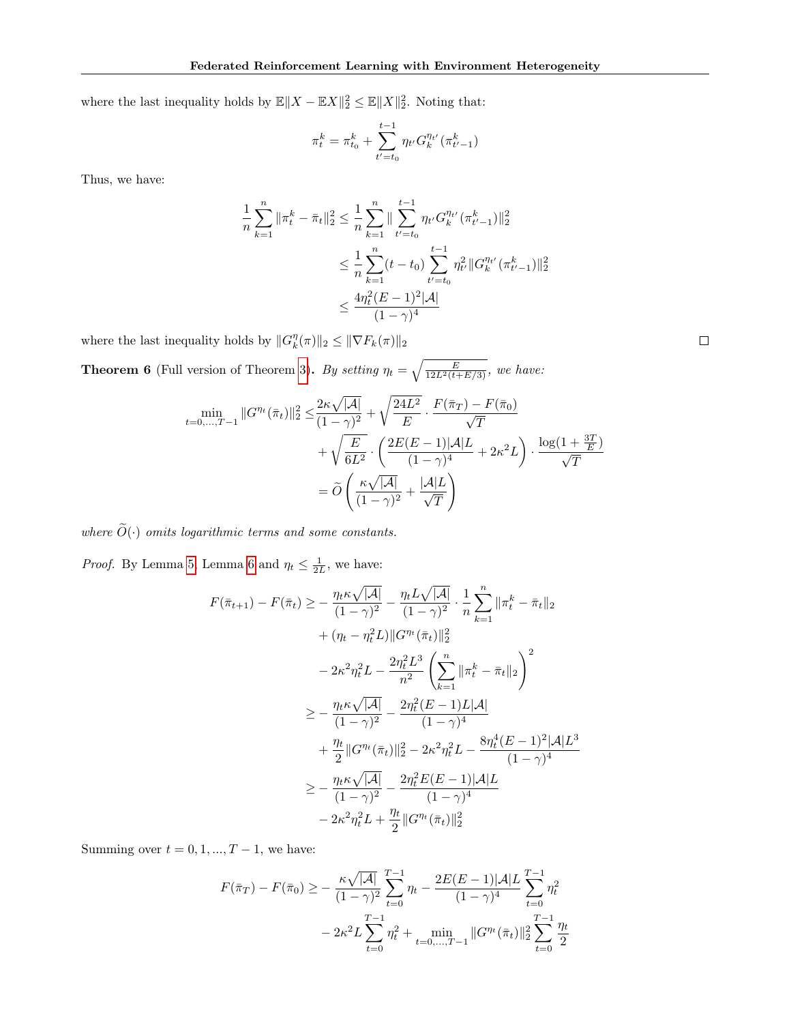where the last inequality holds by  $\mathbb{E} \|X - \mathbb{E}X\|_2^2 \leq \mathbb{E} \|X\|_2^2$ . Noting that:

$$
\pi_t^k = \pi_{t_0}^k + \sum_{t'=t_0}^{t-1} \eta_{t'} G_k^{\eta_{t'}}(\pi_{t'-1}^k)
$$

Thus, we have:

$$
\frac{1}{n} \sum_{k=1}^{n} \|\pi_t^k - \bar{\pi}_t\|_2^2 \le \frac{1}{n} \sum_{k=1}^{n} \|\sum_{t'=t_0}^{t-1} \eta_{t'} G_k^{\eta_{t'}}(\pi_{t'-1}^k)\|_2^2
$$
  

$$
\le \frac{1}{n} \sum_{k=1}^{n} (t - t_0) \sum_{t'=t_0}^{t-1} \eta_{t'}^2 \|G_k^{\eta_{t'}}(\pi_{t'-1}^k)\|_2^2
$$
  

$$
\le \frac{4\eta_t^2 (E - 1)^2 |\mathcal{A}|}{(1 - \gamma)^4}
$$

where the last inequality holds by  $||G_k^{\eta}(\pi)||_2 \le ||\nabla F_k(\pi)||_2$ 

**Theorem 6** (Full version of Theorem [3\)](#page-4-3). By setting  $\eta_t = \sqrt{\frac{E}{12L^2(t+E/3)}}$ , we have:

$$
\min_{t=0,...,T-1} ||G^{n_t}(\bar{\pi}_t)||_2^2 \leq \frac{2\kappa\sqrt{|A|}}{(1-\gamma)^2} + \sqrt{\frac{24L^2}{E}} \cdot \frac{F(\bar{\pi}_T) - F(\bar{\pi}_0)}{\sqrt{T}} \n+ \sqrt{\frac{E}{6L^2}} \cdot \left(\frac{2E(E-1)|A|L}{(1-\gamma)^4} + 2\kappa^2 L\right) \cdot \frac{\log(1+\frac{3T}{E})}{\sqrt{T}} \n= \widetilde{O}\left(\frac{\kappa\sqrt{|A|}}{(1-\gamma)^2} + \frac{|A|L}{\sqrt{T}}\right)
$$

where  $\widetilde{O}(\cdot)$  omits logarithmic terms and some constants.

*Proof.* By Lemma [5,](#page-15-0) Lemma [6](#page-16-0) and  $\eta_t \leq \frac{1}{2L}$ , we have:

$$
F(\bar{\pi}_{t+1}) - F(\bar{\pi}_{t}) \geq -\frac{\eta_{t} \kappa \sqrt{|\mathcal{A}|}}{(1-\gamma)^{2}} - \frac{\eta_{t} L \sqrt{|\mathcal{A}|}}{(1-\gamma)^{2}} \cdot \frac{1}{n} \sum_{k=1}^{n} \|\pi_{t}^{k} - \bar{\pi}_{t}\|_{2}
$$
  
+  $(\eta_{t} - \eta_{t}^{2} L) \|\mathbf{G}^{\eta_{t}}(\bar{\pi}_{t})\|_{2}^{2}$   
-  $2\kappa^{2} \eta_{t}^{2} L - \frac{2\eta_{t}^{2} L^{3}}{n^{2}} \left( \sum_{k=1}^{n} \|\pi_{t}^{k} - \bar{\pi}_{t}\|_{2} \right)^{2}$   

$$
\geq -\frac{\eta_{t} \kappa \sqrt{|\mathcal{A}|}}{(1-\gamma)^{2}} - \frac{2\eta_{t}^{2} (E-1) L |\mathcal{A}|}{(1-\gamma)^{4}}
$$
  
+  $\frac{\eta_{t}}{2} \|\mathbf{G}^{\eta_{t}}(\bar{\pi}_{t})\|_{2}^{2} - 2\kappa^{2} \eta_{t}^{2} L - \frac{8\eta_{t}^{4} (E-1)^{2} |\mathcal{A}| L^{3}}{(1-\gamma)^{4}}$   

$$
\geq -\frac{\eta_{t} \kappa \sqrt{|\mathcal{A}|}}{(1-\gamma)^{2}} - \frac{2\eta_{t}^{2} E (E-1) |\mathcal{A}| L}{(1-\gamma)^{4}}
$$
  
-  $2\kappa^{2} \eta_{t}^{2} L + \frac{\eta_{t}}{2} \|\mathbf{G}^{\eta_{t}}(\bar{\pi}_{t})\|_{2}^{2}$ 

Summing over  $t = 0, 1, ..., T - 1$ , we have:

$$
F(\bar{\pi}_T) - F(\bar{\pi}_0) \ge -\frac{\kappa \sqrt{|\mathcal{A}|}}{(1-\gamma)^2} \sum_{t=0}^{T-1} \eta_t - \frac{2E(E-1)|\mathcal{A}|L}{(1-\gamma)^4} \sum_{t=0}^{T-1} \eta_t^2
$$

$$
-2\kappa^2 L \sum_{t=0}^{T-1} \eta_t^2 + \min_{t=0,\dots,T-1} ||G^{\eta_t}(\bar{\pi}_t)||_2^2 \sum_{t=0}^{T-1} \frac{\eta_t}{2}
$$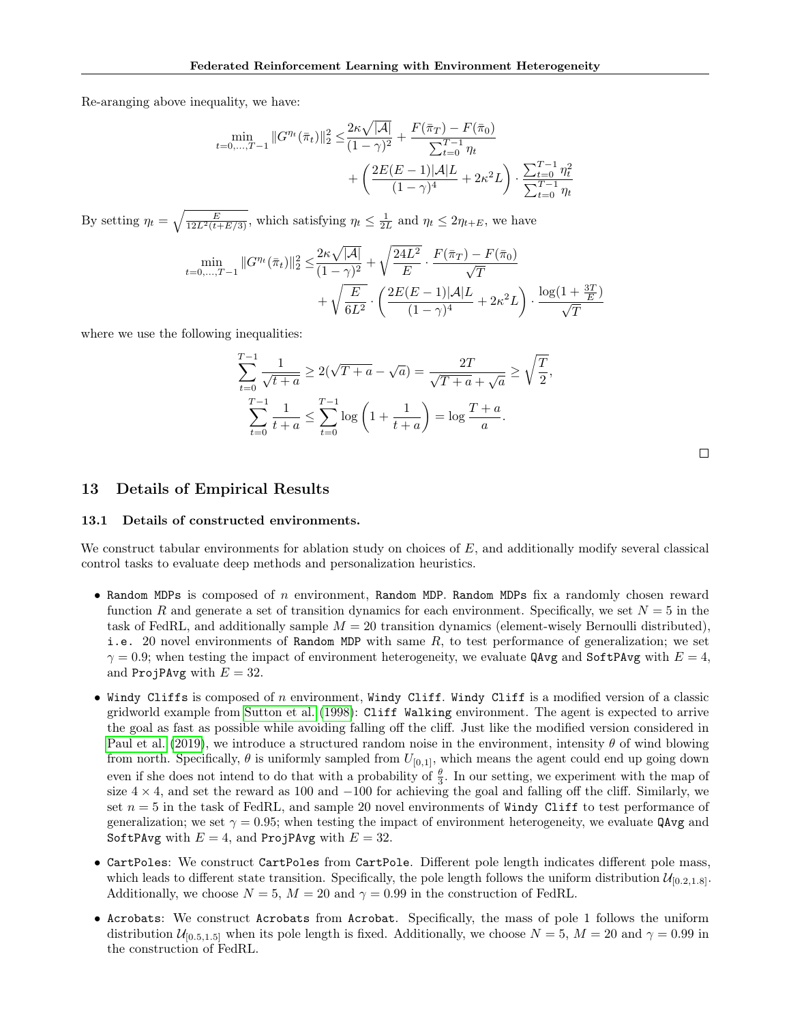Re-aranging above inequality, we have:

$$
\min_{t=0,\dots,T-1} \|G^{\eta_t}(\bar{\pi}_t)\|_2^2 \leq \frac{2\kappa\sqrt{|\mathcal{A}|}}{(1-\gamma)^2} + \frac{F(\bar{\pi}_T) - F(\bar{\pi}_0)}{\sum_{t=0}^{T-1} \eta_t} + \left(\frac{2E(E-1)|\mathcal{A}|L}{(1-\gamma)^4} + 2\kappa^2 L\right) \cdot \frac{\sum_{t=0}^{T-1} \eta_t^2}{\sum_{t=0}^{T-1} \eta_t}
$$

By setting  $\eta_t = \sqrt{\frac{E}{12L^2(t+E/3)}}$ , which satisfying  $\eta_t \leq \frac{1}{2L}$  and  $\eta_t \leq 2\eta_{t+E}$ , we have

$$
\min_{t=0,\dots,T-1} \|G^{n_t}(\bar{\pi}_t)\|_2^2 \leq \frac{2\kappa\sqrt{|A|}}{(1-\gamma)^2} + \sqrt{\frac{24L^2}{E}} \cdot \frac{F(\bar{\pi}_T) - F(\bar{\pi}_0)}{\sqrt{T}} + \sqrt{\frac{E}{6L^2}} \cdot \left(\frac{2E(E-1)|A|L}{(1-\gamma)^4} + 2\kappa^2 L\right) \cdot \frac{\log(1+\frac{3T}{E})}{\sqrt{T}}
$$

where we use the following inequalities:

$$
\sum_{t=0}^{T-1} \frac{1}{\sqrt{t+a}} \ge 2(\sqrt{T+a} - \sqrt{a}) = \frac{2T}{\sqrt{T+a} + \sqrt{a}} \ge \sqrt{\frac{T}{2}},
$$
  

$$
\sum_{t=0}^{T-1} \frac{1}{t+a} \le \sum_{t=0}^{T-1} \log\left(1 + \frac{1}{t+a}\right) = \log\frac{T+a}{a}.
$$

 $\Box$ 

| 13 Details of Empirical Results |  |  |
|---------------------------------|--|--|
|---------------------------------|--|--|

#### 13.1 Details of constructed environments.

We construct tabular environments for ablation study on choices of  $E$ , and additionally modify several classical control tasks to evaluate deep methods and personalization heuristics.

- Random MDPs is composed of  $n$  environment, Random MDP. Random MDPs fix a randomly chosen reward function R and generate a set of transition dynamics for each environment. Specifically, we set  $N = 5$  in the task of FedRL, and additionally sample  $M = 20$  transition dynamics (element-wisely Bernoulli distributed), i.e. 20 novel environments of Random MDP with same  $R$ , to test performance of generalization; we set  $\gamma = 0.9$ ; when testing the impact of environment heterogeneity, we evaluate QAvg and SoftPAvg with  $E = 4$ , and ProjPAvg with  $E = 32$ .
- Windy Cliffs is composed of n environment, Windy Cliff. Windy Cliff is a modified version of a classic gridworld example from [Sutton et al.](#page-9-0) [\(1998\)](#page-9-0): Cliff Walking environment. The agent is expected to arrive the goal as fast as possible while avoiding falling off the cliff. Just like the modified version considered in [Paul et al.](#page-9-14) [\(2019\)](#page-9-14), we introduce a structured random noise in the environment, intensity  $\theta$  of wind blowing from north. Specifically,  $\theta$  is uniformly sampled from  $U_{[0,1]}$ , which means the agent could end up going down even if she does not intend to do that with a probability of  $\frac{\theta}{3}$ . In our setting, we experiment with the map of size  $4 \times 4$ , and set the reward as 100 and  $-100$  for achieving the goal and falling off the cliff. Similarly, we set  $n = 5$  in the task of FedRL, and sample 20 novel environments of Windy Cliff to test performance of generalization; we set  $\gamma = 0.95$ ; when testing the impact of environment heterogeneity, we evaluate QAvg and SoftPAvg with  $E = 4$ , and ProjPAvg with  $E = 32$ .
- CartPoles: We construct CartPoles from CartPole. Different pole length indicates different pole mass, which leads to different state transition. Specifically, the pole length follows the uniform distribution  $\mathcal{U}_{[0,2,1,8]}$ . Additionally, we choose  $N = 5$ ,  $M = 20$  and  $\gamma = 0.99$  in the construction of FedRL.
- Acrobats: We construct Acrobats from Acrobat. Specifically, the mass of pole 1 follows the uniform distribution  $\mathcal{U}_{[0.5,1.5]}$  when its pole length is fixed. Additionally, we choose  $N = 5$ ,  $M = 20$  and  $\gamma = 0.99$  in the construction of FedRL.